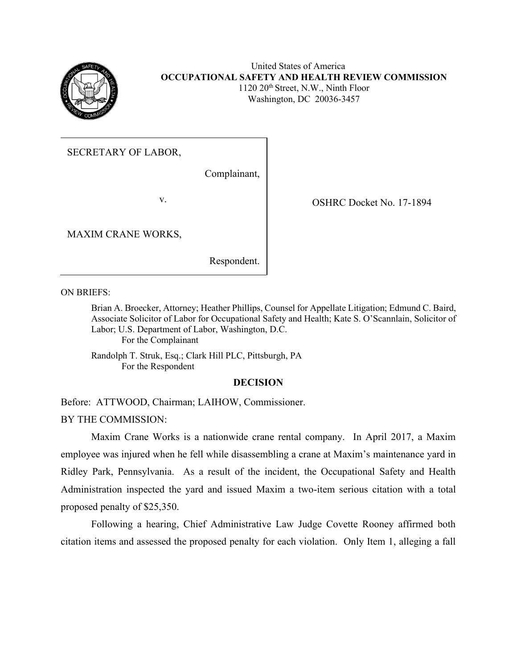

### United States of America **OCCUPATIONAL SAFETY AND HEALTH REVIEW COMMISSION** 1120 20th Street, N.W., Ninth Floor Washington, DC 20036-3457

## SECRETARY OF LABOR,

Complainant,

MAXIM CRANE WORKS,

Respondent.

v. COSHRC Docket No. 17-1894

ON BRIEFS:

Brian A. Broecker, Attorney; Heather Phillips, Counsel for Appellate Litigation; Edmund C. Baird, Associate Solicitor of Labor for Occupational Safety and Health; Kate S. O'Scannlain, Solicitor of Labor; U.S. Department of Labor, Washington, D.C. For the Complainant

Randolph T. Struk, Esq.; Clark Hill PLC, Pittsburgh, PA For the Respondent

## **DECISION**

Before: ATTWOOD, Chairman; LAIHOW, Commissioner. BY THE COMMISSION:

Maxim Crane Works is a nationwide crane rental company. In April 2017, a Maxim employee was injured when he fell while disassembling a crane at Maxim's maintenance yard in Ridley Park, Pennsylvania. As a result of the incident, the Occupational Safety and Health Administration inspected the yard and issued Maxim a two-item serious citation with a total proposed penalty of \$25,350.

Following a hearing, Chief Administrative Law Judge Covette Rooney affirmed both citation items and assessed the proposed penalty for each violation. Only Item 1, alleging a fall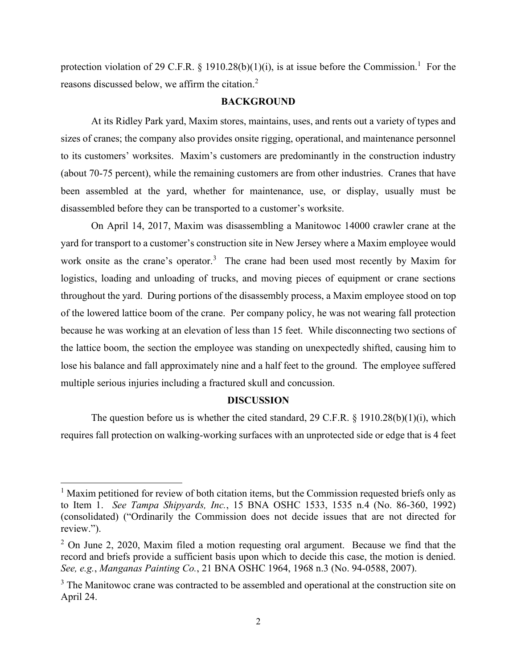protection violation of 29 C.F.R. § 1910.28(b)(1)(i), is at issue before the Commission.<sup>1</sup> For the reasons discussed below, we affirm the citation.<sup>2</sup>

### **BACKGROUND**

At its Ridley Park yard, Maxim stores, maintains, uses, and rents out a variety of types and sizes of cranes; the company also provides onsite rigging, operational, and maintenance personnel to its customers' worksites. Maxim's customers are predominantly in the construction industry (about 70-75 percent), while the remaining customers are from other industries. Cranes that have been assembled at the yard, whether for maintenance, use, or display, usually must be disassembled before they can be transported to a customer's worksite.

On April 14, 2017, Maxim was disassembling a Manitowoc 14000 crawler crane at the yard for transport to a customer's construction site in New Jersey where a Maxim employee would work onsite as the crane's operator.<sup>3</sup> The crane had been used most recently by Maxim for logistics, loading and unloading of trucks, and moving pieces of equipment or crane sections throughout the yard. During portions of the disassembly process, a Maxim employee stood on top of the lowered lattice boom of the crane. Per company policy, he was not wearing fall protection because he was working at an elevation of less than 15 feet. While disconnecting two sections of the lattice boom, the section the employee was standing on unexpectedly shifted, causing him to lose his balance and fall approximately nine and a half feet to the ground. The employee suffered multiple serious injuries including a fractured skull and concussion.

#### **DISCUSSION**

The question before us is whether the cited standard, 29 C.F.R. § 1910.28(b)(1)(i), which requires fall protection on walking-working surfaces with an unprotected side or edge that is 4 feet

 $<sup>1</sup>$  Maxim petitioned for review of both citation items, but the Commission requested briefs only as</sup> to Item 1. *See Tampa Shipyards, Inc.*, 15 BNA OSHC 1533, 1535 n.4 (No. 86-360, 1992) (consolidated) ("Ordinarily the Commission does not decide issues that are not directed for review.").

 $2$  On June 2, 2020, Maxim filed a motion requesting oral argument. Because we find that the record and briefs provide a sufficient basis upon which to decide this case, the motion is denied. *See, e.g.*, *Manganas Painting Co.*, 21 BNA OSHC 1964, 1968 n.3 (No. 94-0588, 2007).

<sup>&</sup>lt;sup>3</sup> The Manitowoc crane was contracted to be assembled and operational at the construction site on April 24.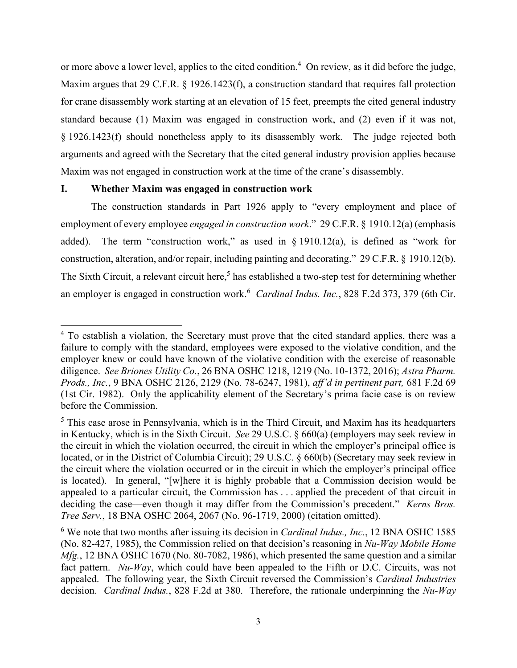or more above a lower level, applies to the cited condition.<sup>4</sup> On review, as it did before the judge, Maxim argues that 29 C.F.R. § 1926.1423(f), a construction standard that requires fall protection for crane disassembly work starting at an elevation of 15 feet, preempts the cited general industry standard because (1) Maxim was engaged in construction work, and (2) even if it was not, § 1926.1423(f) should nonetheless apply to its disassembly work. The judge rejected both arguments and agreed with the Secretary that the cited general industry provision applies because Maxim was not engaged in construction work at the time of the crane's disassembly.

### **I. Whether Maxim was engaged in construction work**

The construction standards in Part 1926 apply to "every employment and place of employment of every employee *engaged in construction work*." 29 C.F.R. § 1910.12(a) (emphasis added). The term "construction work," as used in  $\S$  1910.12(a), is defined as "work for construction, alteration, and/or repair, including painting and decorating." 29 C.F.R. § 1910.12(b). The Sixth Circuit, a relevant circuit here,<sup>5</sup> has established a two-step test for determining whether an employer is engaged in construction work. <sup>6</sup> *Cardinal Indus. Inc.*, 828 F.2d 373, 379 (6th Cir.

<sup>&</sup>lt;sup>4</sup> To establish a violation, the Secretary must prove that the cited standard applies, there was a failure to comply with the standard, employees were exposed to the violative condition, and the employer knew or could have known of the violative condition with the exercise of reasonable diligence. *See Briones Utility Co.*, 26 BNA OSHC 1218, 1219 (No. 10-1372, 2016); *Astra Pharm. Prods., Inc.*, 9 BNA OSHC 2126, 2129 (No. 78-6247, 1981), *aff'd in pertinent part,* 681 F.2d 69 (1st Cir. 1982). Only the applicability element of the Secretary's prima facie case is on review before the Commission.

<sup>5</sup> This case arose in Pennsylvania, which is in the Third Circuit, and Maxim has its headquarters in Kentucky, which is in the Sixth Circuit. *See* 29 U.S.C. § 660(a) (employers may seek review in the circuit in which the violation occurred, the circuit in which the employer's principal office is located, or in the District of Columbia Circuit); 29 U.S.C. § 660(b) (Secretary may seek review in the circuit where the violation occurred or in the circuit in which the employer's principal office is located). In general, "[w]here it is highly probable that a Commission decision would be appealed to a particular circuit, the Commission has . . . applied the precedent of that circuit in deciding the case—even though it may differ from the Commission's precedent." *Kerns Bros. Tree Serv.*, 18 BNA OSHC 2064, 2067 (No. 96-1719, 2000) (citation omitted).

<sup>6</sup> We note that two months after issuing its decision in *Cardinal Indus., Inc.*, 12 BNA OSHC 1585 (No. 82-427, 1985), the Commission relied on that decision's reasoning in *Nu-Way Mobile Home Mfg.*, 12 BNA OSHC 1670 (No. 80-7082, 1986), which presented the same question and a similar fact pattern. *Nu-Way*, which could have been appealed to the Fifth or D.C. Circuits, was not appealed. The following year, the Sixth Circuit reversed the Commission's *Cardinal Industries* decision. *Cardinal Indus.*, 828 F.2d at 380. Therefore, the rationale underpinning the *Nu-Way*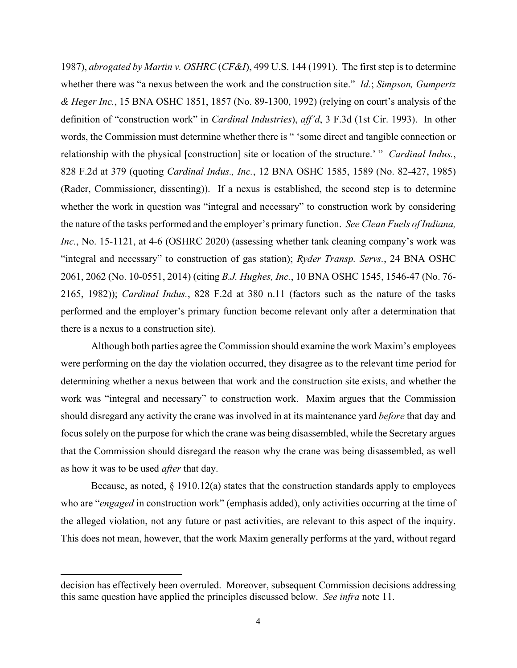1987), *abrogated by Martin v. OSHRC* (*CF&I*), 499 U.S. 144 (1991). The first step is to determine whether there was "a nexus between the work and the construction site." *Id.*; *Simpson, Gumpertz & Heger Inc.*, 15 BNA OSHC 1851, 1857 (No. 89-1300, 1992) (relying on court's analysis of the definition of "construction work" in *Cardinal Industries*), *aff'd*, 3 F.3d (1st Cir. 1993). In other words, the Commission must determine whether there is " 'some direct and tangible connection or relationship with the physical [construction] site or location of the structure.' " *Cardinal Indus.*, 828 F.2d at 379 (quoting *Cardinal Indus., Inc.*, 12 BNA OSHC 1585, 1589 (No. 82-427, 1985) (Rader, Commissioner, dissenting)). If a nexus is established, the second step is to determine whether the work in question was "integral and necessary" to construction work by considering the nature of the tasks performed and the employer's primary function. *See Clean Fuels of Indiana, Inc.*, No. 15-1121, at 4-6 (OSHRC 2020) (assessing whether tank cleaning company's work was "integral and necessary" to construction of gas station); *Ryder Transp. Servs.*, 24 BNA OSHC 2061, 2062 (No. 10-0551, 2014) (citing *B.J. Hughes, Inc.*, 10 BNA OSHC 1545, 1546-47 (No. 76- 2165, 1982)); *Cardinal Indus.*, 828 F.2d at 380 n.11 (factors such as the nature of the tasks performed and the employer's primary function become relevant only after a determination that there is a nexus to a construction site).

Although both parties agree the Commission should examine the work Maxim's employees were performing on the day the violation occurred, they disagree as to the relevant time period for determining whether a nexus between that work and the construction site exists, and whether the work was "integral and necessary" to construction work. Maxim argues that the Commission should disregard any activity the crane was involved in at its maintenance yard *before* that day and focus solely on the purpose for which the crane was being disassembled, while the Secretary argues that the Commission should disregard the reason why the crane was being disassembled, as well as how it was to be used *after* that day.

Because, as noted,  $\S$  1910.12(a) states that the construction standards apply to employees who are "*engaged* in construction work" (emphasis added), only activities occurring at the time of the alleged violation, not any future or past activities, are relevant to this aspect of the inquiry. This does not mean, however, that the work Maxim generally performs at the yard, without regard

decision has effectively been overruled. Moreover, subsequent Commission decisions addressing this same question have applied the principles discussed below. *See infra* note [11.](#page-7-0)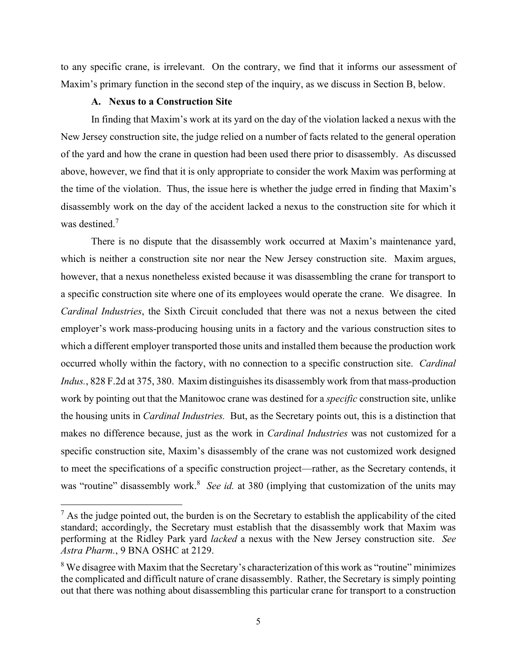to any specific crane, is irrelevant. On the contrary, we find that it informs our assessment of Maxim's primary function in the second step of the inquiry, as we discuss in Section B, below.

## **A. Nexus to a Construction Site**

In finding that Maxim's work at its yard on the day of the violation lacked a nexus with the New Jersey construction site, the judge relied on a number of facts related to the general operation of the yard and how the crane in question had been used there prior to disassembly. As discussed above, however, we find that it is only appropriate to consider the work Maxim was performing at the time of the violation. Thus, the issue here is whether the judge erred in finding that Maxim's disassembly work on the day of the accident lacked a nexus to the construction site for which it was destined.<sup>7</sup>

There is no dispute that the disassembly work occurred at Maxim's maintenance yard, which is neither a construction site nor near the New Jersey construction site. Maxim argues, however, that a nexus nonetheless existed because it was disassembling the crane for transport to a specific construction site where one of its employees would operate the crane. We disagree. In *Cardinal Industries*, the Sixth Circuit concluded that there was not a nexus between the cited employer's work mass-producing housing units in a factory and the various construction sites to which a different employer transported those units and installed them because the production work occurred wholly within the factory, with no connection to a specific construction site. *Cardinal Indus.*, 828 F.2d at 375, 380. Maxim distinguishes its disassembly work from that mass-production work by pointing out that the Manitowoc crane was destined for a *specific* construction site, unlike the housing units in *Cardinal Industries.* But, as the Secretary points out, this is a distinction that makes no difference because, just as the work in *Cardinal Industries* was not customized for a specific construction site, Maxim's disassembly of the crane was not customized work designed to meet the specifications of a specific construction project—rather, as the Secretary contends, it was "routine" disassembly work.<sup>8</sup> See id. at 380 (implying that customization of the units may

 $<sup>7</sup>$  As the judge pointed out, the burden is on the Secretary to establish the applicability of the cited</sup> standard; accordingly, the Secretary must establish that the disassembly work that Maxim was performing at the Ridley Park yard *lacked* a nexus with the New Jersey construction site. *See Astra Pharm.*, 9 BNA OSHC at 2129.

<sup>&</sup>lt;sup>8</sup> We disagree with Maxim that the Secretary's characterization of this work as "routine" minimizes the complicated and difficult nature of crane disassembly. Rather, the Secretary is simply pointing out that there was nothing about disassembling this particular crane for transport to a construction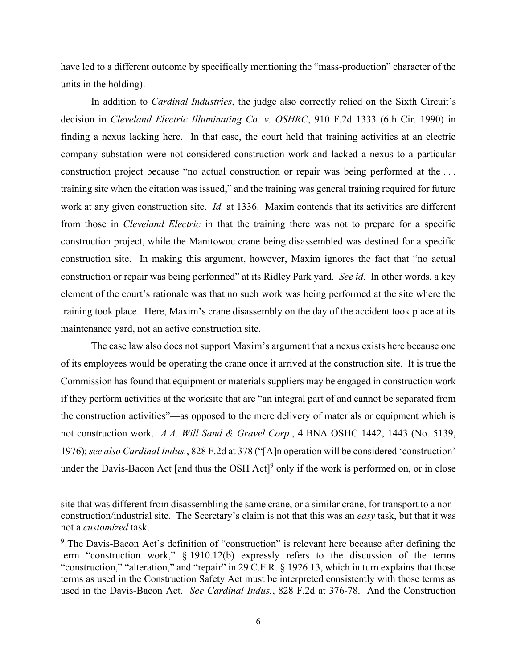have led to a different outcome by specifically mentioning the "mass-production" character of the units in the holding).

In addition to *Cardinal Industries*, the judge also correctly relied on the Sixth Circuit's decision in *Cleveland Electric Illuminating Co. v. OSHRC*, 910 F.2d 1333 (6th Cir. 1990) in finding a nexus lacking here. In that case, the court held that training activities at an electric company substation were not considered construction work and lacked a nexus to a particular construction project because "no actual construction or repair was being performed at the . . . training site when the citation was issued," and the training was general training required for future work at any given construction site. *Id.* at 1336. Maxim contends that its activities are different from those in *Cleveland Electric* in that the training there was not to prepare for a specific construction project, while the Manitowoc crane being disassembled was destined for a specific construction site. In making this argument, however, Maxim ignores the fact that "no actual construction or repair was being performed" at its Ridley Park yard. *See id.* In other words, a key element of the court's rationale was that no such work was being performed at the site where the training took place. Here, Maxim's crane disassembly on the day of the accident took place at its maintenance yard, not an active construction site.

The case law also does not support Maxim's argument that a nexus exists here because one of its employees would be operating the crane once it arrived at the construction site. It is true the Commission has found that equipment or materials suppliers may be engaged in construction work if they perform activities at the worksite that are "an integral part of and cannot be separated from the construction activities"—as opposed to the mere delivery of materials or equipment which is not construction work. *A.A. Will Sand & Gravel Corp.*, 4 BNA OSHC 1442, 1443 (No. 5139, 1976); *see also Cardinal Indus.*, 828 F.2d at 378 ("[A]n operation will be considered 'construction' under the Davis-Bacon Act [and thus the OSH Act]<sup>9</sup> only if the work is performed on, or in close

site that was different from disassembling the same crane, or a similar crane, for transport to a nonconstruction/industrial site. The Secretary's claim is not that this was an *easy* task, but that it was not a *customized* task.

 $9$  The Davis-Bacon Act's definition of "construction" is relevant here because after defining the term "construction work," § 1910.12(b) expressly refers to the discussion of the terms "construction," "alteration," and "repair" in 29 C.F.R. § 1926.13, which in turn explains that those terms as used in the Construction Safety Act must be interpreted consistently with those terms as used in the Davis-Bacon Act. *See Cardinal Indus.*, 828 F.2d at 376-78. And the Construction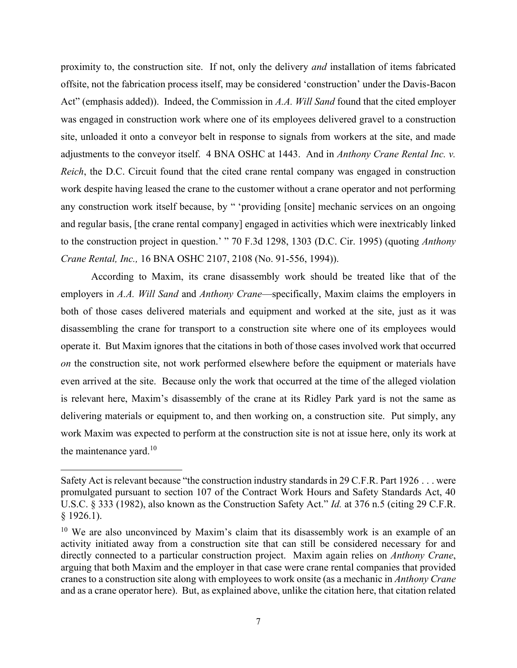proximity to, the construction site. If not, only the delivery *and* installation of items fabricated offsite, not the fabrication process itself, may be considered 'construction' under the Davis-Bacon Act" (emphasis added)). Indeed, the Commission in *A.A. Will Sand* found that the cited employer was engaged in construction work where one of its employees delivered gravel to a construction site, unloaded it onto a conveyor belt in response to signals from workers at the site, and made adjustments to the conveyor itself. 4 BNA OSHC at 1443. And in *Anthony Crane Rental Inc. v. Reich*, the D.C. Circuit found that the cited crane rental company was engaged in construction work despite having leased the crane to the customer without a crane operator and not performing any construction work itself because, by " 'providing [onsite] mechanic services on an ongoing and regular basis, [the crane rental company] engaged in activities which were inextricably linked to the construction project in question.' " 70 F.3d 1298, 1303 (D.C. Cir. 1995) (quoting *Anthony Crane Rental, Inc.,* 16 BNA OSHC 2107, 2108 (No. 91-556, 1994)).

According to Maxim, its crane disassembly work should be treated like that of the employers in *A.A. Will Sand* and *Anthony Crane*—specifically, Maxim claims the employers in both of those cases delivered materials and equipment and worked at the site, just as it was disassembling the crane for transport to a construction site where one of its employees would operate it. But Maxim ignores that the citations in both of those cases involved work that occurred *on* the construction site, not work performed elsewhere before the equipment or materials have even arrived at the site. Because only the work that occurred at the time of the alleged violation is relevant here, Maxim's disassembly of the crane at its Ridley Park yard is not the same as delivering materials or equipment to, and then working on, a construction site. Put simply, any work Maxim was expected to perform at the construction site is not at issue here, only its work at the maintenance yard. $10$ 

Safety Act is relevant because "the construction industry standards in 29 C.F.R. Part 1926 . . . were promulgated pursuant to section 107 of the Contract Work Hours and Safety Standards Act, 40 U.S.C. § 333 (1982), also known as the Construction Safety Act." *Id.* at 376 n.5 (citing 29 C.F.R. § 1926.1).

<sup>&</sup>lt;sup>10</sup> We are also unconvinced by Maxim's claim that its disassembly work is an example of an activity initiated away from a construction site that can still be considered necessary for and directly connected to a particular construction project. Maxim again relies on *Anthony Crane*, arguing that both Maxim and the employer in that case were crane rental companies that provided cranes to a construction site along with employees to work onsite (as a mechanic in *Anthony Crane* and as a crane operator here). But, as explained above, unlike the citation here, that citation related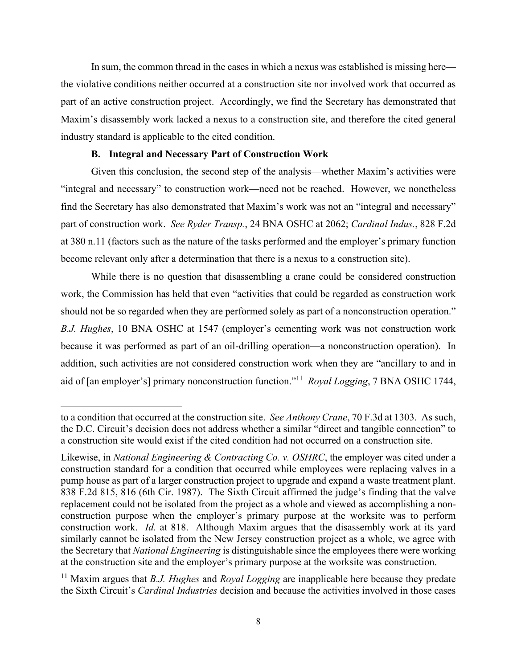In sum, the common thread in the cases in which a nexus was established is missing here the violative conditions neither occurred at a construction site nor involved work that occurred as part of an active construction project. Accordingly, we find the Secretary has demonstrated that Maxim's disassembly work lacked a nexus to a construction site, and therefore the cited general industry standard is applicable to the cited condition.

### **B. Integral and Necessary Part of Construction Work**

Given this conclusion, the second step of the analysis—whether Maxim's activities were "integral and necessary" to construction work—need not be reached. However, we nonetheless find the Secretary has also demonstrated that Maxim's work was not an "integral and necessary" part of construction work. *See Ryder Transp.*, 24 BNA OSHC at 2062; *Cardinal Indus.*, 828 F.2d at 380 n.11 (factors such as the nature of the tasks performed and the employer's primary function become relevant only after a determination that there is a nexus to a construction site).

While there is no question that disassembling a crane could be considered construction work, the Commission has held that even "activities that could be regarded as construction work should not be so regarded when they are performed solely as part of a nonconstruction operation." *B.J. Hughes*, 10 BNA OSHC at 1547 (employer's cementing work was not construction work because it was performed as part of an oil-drilling operation—a nonconstruction operation). In addition, such activities are not considered construction work when they are "ancillary to and in aid of [an employer's] primary nonconstruction function."<sup>11</sup> *Royal Logging*, 7 BNA OSHC 1744,

<span id="page-7-0"></span>to a condition that occurred at the construction site. *See Anthony Crane*, 70 F.3d at 1303. As such, the D.C. Circuit's decision does not address whether a similar "direct and tangible connection" to a construction site would exist if the cited condition had not occurred on a construction site.

Likewise, in *National Engineering & Contracting Co. v. OSHRC*, the employer was cited under a construction standard for a condition that occurred while employees were replacing valves in a pump house as part of a larger construction project to upgrade and expand a waste treatment plant. 838 F.2d 815, 816 (6th Cir. 1987). The Sixth Circuit affirmed the judge's finding that the valve replacement could not be isolated from the project as a whole and viewed as accomplishing a nonconstruction purpose when the employer's primary purpose at the worksite was to perform construction work. *Id.* at 818. Although Maxim argues that the disassembly work at its yard similarly cannot be isolated from the New Jersey construction project as a whole, we agree with the Secretary that *National Engineering* is distinguishable since the employees there were working at the construction site and the employer's primary purpose at the worksite was construction.

<sup>11</sup> Maxim argues that *B.J. Hughes* and *Royal Logging* are inapplicable here because they predate the Sixth Circuit's *Cardinal Industries* decision and because the activities involved in those cases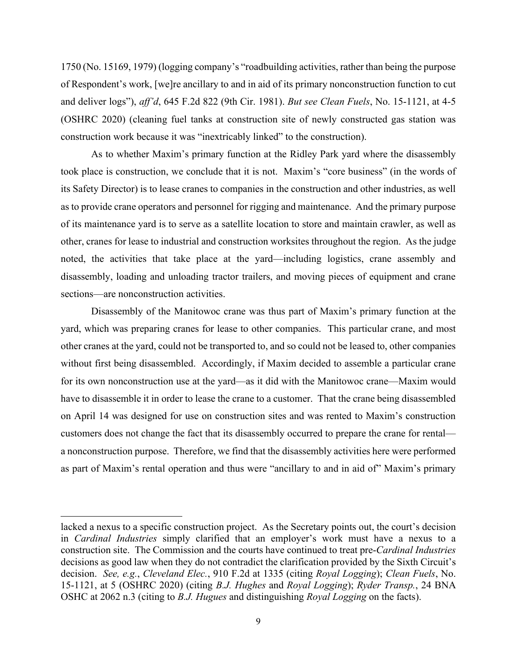1750 (No. 15169, 1979) (logging company's "roadbuilding activities, rather than being the purpose of Respondent's work, [we]re ancillary to and in aid of its primary nonconstruction function to cut and deliver logs"), *aff'd*, 645 F.2d 822 (9th Cir. 1981). *But see Clean Fuels*, No. 15-1121, at 4-5 (OSHRC 2020) (cleaning fuel tanks at construction site of newly constructed gas station was construction work because it was "inextricably linked" to the construction).

As to whether Maxim's primary function at the Ridley Park yard where the disassembly took place is construction, we conclude that it is not. Maxim's "core business" (in the words of its Safety Director) is to lease cranes to companies in the construction and other industries, as well as to provide crane operators and personnel for rigging and maintenance. And the primary purpose of its maintenance yard is to serve as a satellite location to store and maintain crawler, as well as other, cranes for lease to industrial and construction worksites throughout the region. As the judge noted, the activities that take place at the yard—including logistics, crane assembly and disassembly, loading and unloading tractor trailers, and moving pieces of equipment and crane sections—are nonconstruction activities.

Disassembly of the Manitowoc crane was thus part of Maxim's primary function at the yard, which was preparing cranes for lease to other companies. This particular crane, and most other cranes at the yard, could not be transported to, and so could not be leased to, other companies without first being disassembled. Accordingly, if Maxim decided to assemble a particular crane for its own nonconstruction use at the yard—as it did with the Manitowoc crane—Maxim would have to disassemble it in order to lease the crane to a customer. That the crane being disassembled on April 14 was designed for use on construction sites and was rented to Maxim's construction customers does not change the fact that its disassembly occurred to prepare the crane for rental a nonconstruction purpose. Therefore, we find that the disassembly activities here were performed as part of Maxim's rental operation and thus were "ancillary to and in aid of" Maxim's primary

lacked a nexus to a specific construction project. As the Secretary points out, the court's decision in *Cardinal Industries* simply clarified that an employer's work must have a nexus to a construction site. The Commission and the courts have continued to treat pre-*Cardinal Industries*  decisions as good law when they do not contradict the clarification provided by the Sixth Circuit's decision. *See, e.g.*, *Cleveland Elec.*, 910 F.2d at 1335 (citing *Royal Logging*); *Clean Fuels*, No. 15-1121, at 5 (OSHRC 2020) (citing *B.J. Hughes* and *Royal Logging*); *Ryder Transp.*, 24 BNA OSHC at 2062 n.3 (citing to *B.J. Hugues* and distinguishing *Royal Logging* on the facts).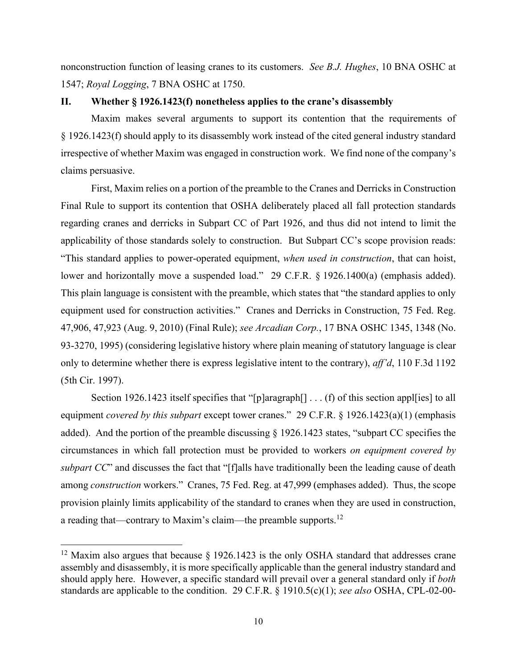nonconstruction function of leasing cranes to its customers. *See B.J. Hughes*, 10 BNA OSHC at 1547; *Royal Logging*, 7 BNA OSHC at 1750.

## **II. Whether § 1926.1423(f) nonetheless applies to the crane's disassembly**

Maxim makes several arguments to support its contention that the requirements of § 1926.1423(f) should apply to its disassembly work instead of the cited general industry standard irrespective of whether Maxim was engaged in construction work. We find none of the company's claims persuasive.

First, Maxim relies on a portion of the preamble to the Cranes and Derricks in Construction Final Rule to support its contention that OSHA deliberately placed all fall protection standards regarding cranes and derricks in Subpart CC of Part 1926, and thus did not intend to limit the applicability of those standards solely to construction. But Subpart CC's scope provision reads: "This standard applies to power-operated equipment, *when used in construction*, that can hoist, lower and horizontally move a suspended load." 29 C.F.R. § 1926.1400(a) (emphasis added). This plain language is consistent with the preamble, which states that "the standard applies to only equipment used for construction activities." Cranes and Derricks in Construction, 75 Fed. Reg. 47,906, 47,923 (Aug. 9, 2010) (Final Rule); *see Arcadian Corp.*, 17 BNA OSHC 1345, 1348 (No. 93-3270, 1995) (considering legislative history where plain meaning of statutory language is clear only to determine whether there is express legislative intent to the contrary), *aff'd*, 110 F.3d 1192 (5th Cir. 1997).

Section 1926.1423 itself specifies that "[p]aragraph[] . . . (f) of this section appl[ies] to all equipment *covered by this subpart* except tower cranes." 29 C.F.R. § 1926.1423(a)(1) (emphasis added). And the portion of the preamble discussing § 1926.1423 states, "subpart CC specifies the circumstances in which fall protection must be provided to workers *on equipment covered by subpart CC*" and discusses the fact that "[f]alls have traditionally been the leading cause of death among *construction* workers." Cranes, 75 Fed. Reg. at 47,999 (emphases added). Thus, the scope provision plainly limits applicability of the standard to cranes when they are used in construction, a reading that—contrary to Maxim's claim—the preamble supports.<sup>12</sup>

<sup>&</sup>lt;sup>12</sup> Maxim also argues that because  $\frac{1926.1423}{15}$  is the only OSHA standard that addresses crane assembly and disassembly, it is more specifically applicable than the general industry standard and should apply here. However, a specific standard will prevail over a general standard only if *both* standards are applicable to the condition. 29 C.F.R. § 1910.5(c)(1); *see also* OSHA, CPL-02-00-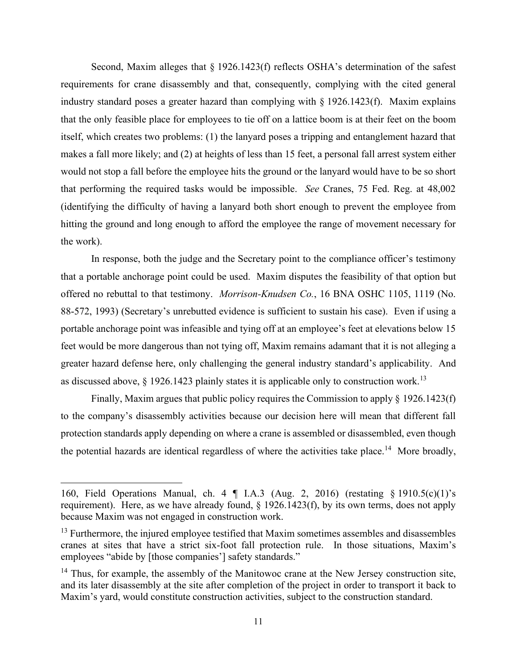Second, Maxim alleges that § 1926.1423(f) reflects OSHA's determination of the safest requirements for crane disassembly and that, consequently, complying with the cited general industry standard poses a greater hazard than complying with § 1926.1423(f). Maxim explains that the only feasible place for employees to tie off on a lattice boom is at their feet on the boom itself, which creates two problems: (1) the lanyard poses a tripping and entanglement hazard that makes a fall more likely; and (2) at heights of less than 15 feet, a personal fall arrest system either would not stop a fall before the employee hits the ground or the lanyard would have to be so short that performing the required tasks would be impossible. *See* Cranes, 75 Fed. Reg. at 48,002 (identifying the difficulty of having a lanyard both short enough to prevent the employee from hitting the ground and long enough to afford the employee the range of movement necessary for the work).

In response, both the judge and the Secretary point to the compliance officer's testimony that a portable anchorage point could be used. Maxim disputes the feasibility of that option but offered no rebuttal to that testimony. *Morrison-Knudsen Co.*, 16 BNA OSHC 1105, 1119 (No. 88-572, 1993) (Secretary's unrebutted evidence is sufficient to sustain his case). Even if using a portable anchorage point was infeasible and tying off at an employee's feet at elevations below 15 feet would be more dangerous than not tying off, Maxim remains adamant that it is not alleging a greater hazard defense here, only challenging the general industry standard's applicability. And as discussed above,  $\S$  1926.1423 plainly states it is applicable only to construction work.<sup>13</sup>

Finally, Maxim argues that public policy requires the Commission to apply § 1926.1423(f) to the company's disassembly activities because our decision here will mean that different fall protection standards apply depending on where a crane is assembled or disassembled, even though the potential hazards are identical regardless of where the activities take place.<sup>14</sup> More broadly,

<sup>160,</sup> Field Operations Manual, ch. 4 ¶ I.A.3 (Aug. 2, 2016) (restating § 1910.5(c)(1)'s requirement). Here, as we have already found, § 1926.1423(f), by its own terms, does not apply because Maxim was not engaged in construction work.

 $<sup>13</sup>$  Furthermore, the injured employee testified that Maxim sometimes assembles and disassembles</sup> cranes at sites that have a strict six-foot fall protection rule. In those situations, Maxim's employees "abide by [those companies'] safety standards."

 $14$  Thus, for example, the assembly of the Manitowoc crane at the New Jersey construction site, and its later disassembly at the site after completion of the project in order to transport it back to Maxim's yard, would constitute construction activities, subject to the construction standard.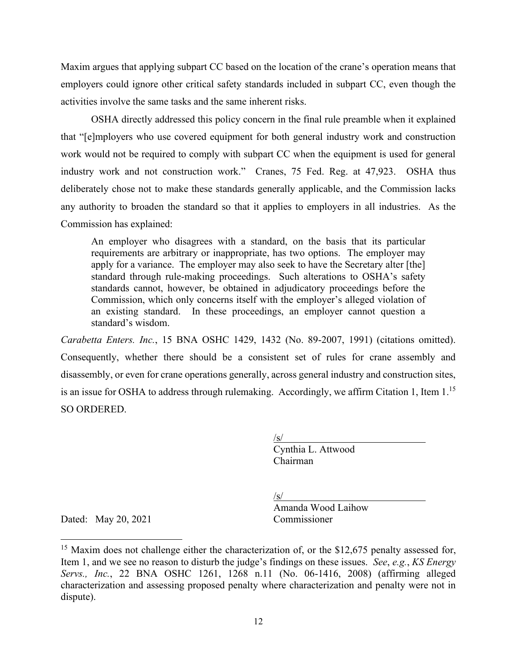Maxim argues that applying subpart CC based on the location of the crane's operation means that employers could ignore other critical safety standards included in subpart CC, even though the activities involve the same tasks and the same inherent risks.

OSHA directly addressed this policy concern in the final rule preamble when it explained that "[e]mployers who use covered equipment for both general industry work and construction work would not be required to comply with subpart CC when the equipment is used for general industry work and not construction work." Cranes, 75 Fed. Reg. at 47,923. OSHA thus deliberately chose not to make these standards generally applicable, and the Commission lacks any authority to broaden the standard so that it applies to employers in all industries. As the Commission has explained:

An employer who disagrees with a standard, on the basis that its particular requirements are arbitrary or inappropriate, has two options. The employer may apply for a variance. The employer may also seek to have the Secretary alter [the] standard through rule-making proceedings. Such alterations to OSHA's safety standards cannot, however, be obtained in adjudicatory proceedings before the Commission, which only concerns itself with the employer's alleged violation of an existing standard. In these proceedings, an employer cannot question a standard's wisdom.

*Carabetta Enters. Inc.*, 15 BNA OSHC 1429, 1432 (No. 89-2007, 1991) (citations omitted). Consequently, whether there should be a consistent set of rules for crane assembly and disassembly, or even for crane operations generally, across general industry and construction sites, is an issue for OSHA to address through rulemaking. Accordingly, we affirm Citation 1, Item 1.<sup>15</sup> SO ORDERED.

> $\sqrt{s/}$ Cynthia L. Attwood Chairman

/s/

Amanda Wood Laihow

Dated: May 20, 2021 Commissioner

<sup>&</sup>lt;sup>15</sup> Maxim does not challenge either the characterization of, or the \$12,675 penalty assessed for, Item 1, and we see no reason to disturb the judge's findings on these issues. *See*, *e.g.*, *KS Energy Servs., Inc.*, 22 BNA OSHC 1261, 1268 n.11 (No. 06-1416, 2008) (affirming alleged characterization and assessing proposed penalty where characterization and penalty were not in dispute).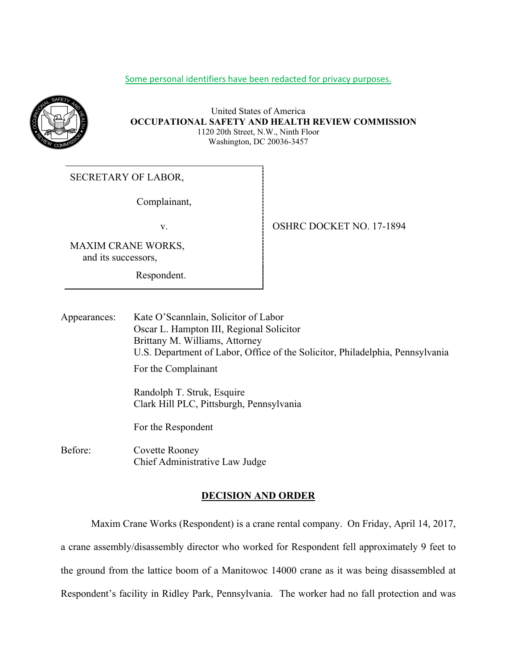## Some personal identifiers have been redacted for privacy purposes.



### United States of America **OCCUPATIONAL SAFETY AND HEALTH REVIEW COMMISSION** 1120 20th Street, N.W., Ninth Floor Washington, DC 20036-3457

# SECRETARY OF LABOR,

Complainant,

MAXIM CRANE WORKS, and its successors,

Respondent.

v. 994

Appearances: Kate O'Scannlain, Solicitor of Labor Oscar L. Hampton III, Regional Solicitor Brittany M. Williams, Attorney U.S. Department of Labor, Office of the Solicitor, Philadelphia, Pennsylvania For the Complainant Randolph T. Struk, Esquire Clark Hill PLC, Pittsburgh, Pennsylvania

For the Respondent

Before: Covette Rooney Chief Administrative Law Judge

## **DECISION AND ORDER**

 Maxim Crane Works (Respondent) is a crane rental company. On Friday, April 14, 2017, a crane assembly/disassembly director who worked for Respondent fell approximately 9 feet to the ground from the lattice boom of a Manitowoc 14000 crane as it was being disassembled at Respondent's facility in Ridley Park, Pennsylvania. The worker had no fall protection and was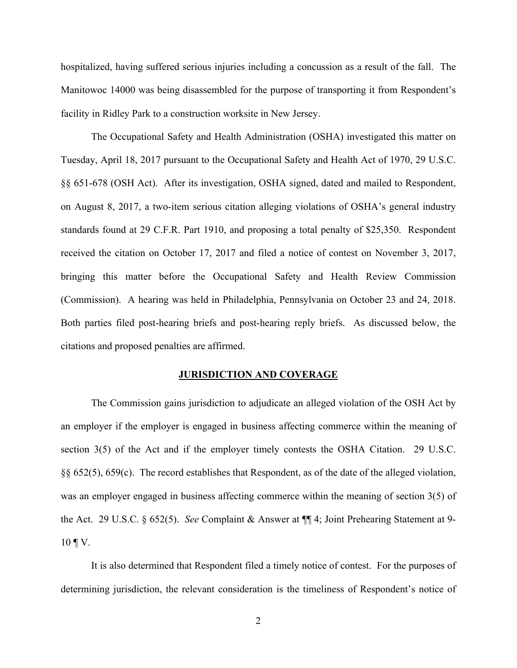hospitalized, having suffered serious injuries including a concussion as a result of the fall. The Manitowoc 14000 was being disassembled for the purpose of transporting it from Respondent's facility in Ridley Park to a construction worksite in New Jersey.

The Occupational Safety and Health Administration (OSHA) investigated this matter on Tuesday, April 18, 2017 pursuant to the Occupational Safety and Health Act of 1970, 29 U.S.C. §§ 651-678 (OSH Act). After its investigation, OSHA signed, dated and mailed to Respondent, on August 8, 2017, a two-item serious citation alleging violations of OSHA's general industry standards found at 29 C.F.R. Part 1910, and proposing a total penalty of \$25,350. Respondent received the citation on October 17, 2017 and filed a notice of contest on November 3, 2017, bringing this matter before the Occupational Safety and Health Review Commission (Commission). A hearing was held in Philadelphia, Pennsylvania on October 23 and 24, 2018. Both parties filed post-hearing briefs and post-hearing reply briefs. As discussed below, the citations and proposed penalties are affirmed.

#### **JURISDICTION AND COVERAGE**

The Commission gains jurisdiction to adjudicate an alleged violation of the OSH Act by an employer if the employer is engaged in business affecting commerce within the meaning of section 3(5) of the Act and if the employer timely contests the OSHA Citation. 29 U.S.C. §§ 652(5), 659(c). The record establishes that Respondent, as of the date of the alleged violation, was an employer engaged in business affecting commerce within the meaning of section 3(5) of the Act. 29 U.S.C. § 652(5). *See* Complaint & Answer at ¶¶ 4; Joint Prehearing Statement at 9-  $10 \, \text{T}$  V.

It is also determined that Respondent filed a timely notice of contest. For the purposes of determining jurisdiction, the relevant consideration is the timeliness of Respondent's notice of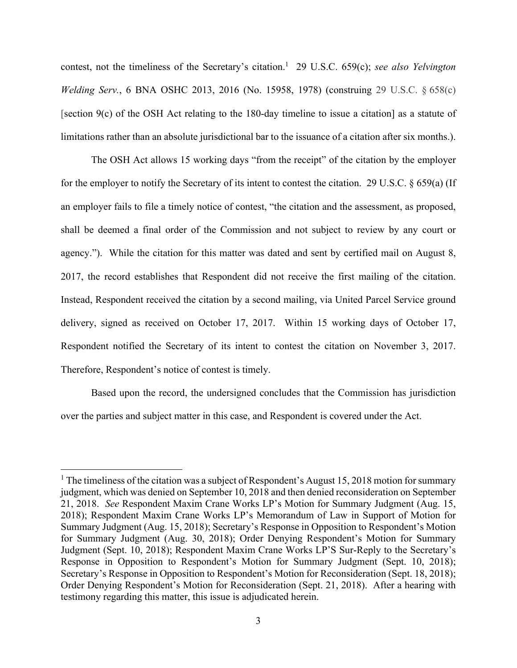contest, not the timeliness of the Secretary's citation.<sup>1</sup> 29 U.S.C. 659(c); see also *Yelvington Welding Serv.*, 6 BNA OSHC 2013, 2016 (No. 15958, 1978) (construing 29 U.S.C. § 658(c) [section 9(c) of the OSH Act relating to the 180-day timeline to issue a citation] as a statute of limitations rather than an absolute jurisdictional bar to the issuance of a citation after six months.).

The OSH Act allows 15 working days "from the receipt" of the citation by the employer for the employer to notify the Secretary of its intent to contest the citation. 29 U.S.C. § 659(a) (If an employer fails to file a timely notice of contest, "the citation and the assessment, as proposed, shall be deemed a final order of the Commission and not subject to review by any court or agency."). While the citation for this matter was dated and sent by certified mail on August 8, 2017, the record establishes that Respondent did not receive the first mailing of the citation. Instead, Respondent received the citation by a second mailing, via United Parcel Service ground delivery, signed as received on October 17, 2017. Within 15 working days of October 17, Respondent notified the Secretary of its intent to contest the citation on November 3, 2017. Therefore, Respondent's notice of contest is timely.

Based upon the record, the undersigned concludes that the Commission has jurisdiction over the parties and subject matter in this case, and Respondent is covered under the Act.

<sup>&</sup>lt;sup>1</sup> The timeliness of the citation was a subject of Respondent's August 15, 2018 motion for summary judgment, which was denied on September 10, 2018 and then denied reconsideration on September 21, 2018. *See* Respondent Maxim Crane Works LP's Motion for Summary Judgment (Aug. 15, 2018); Respondent Maxim Crane Works LP's Memorandum of Law in Support of Motion for Summary Judgment (Aug. 15, 2018); Secretary's Response in Opposition to Respondent's Motion for Summary Judgment (Aug. 30, 2018); Order Denying Respondent's Motion for Summary Judgment (Sept. 10, 2018); Respondent Maxim Crane Works LP'S Sur-Reply to the Secretary's Response in Opposition to Respondent's Motion for Summary Judgment (Sept. 10, 2018); Secretary's Response in Opposition to Respondent's Motion for Reconsideration (Sept. 18, 2018); Order Denying Respondent's Motion for Reconsideration (Sept. 21, 2018). After a hearing with testimony regarding this matter, this issue is adjudicated herein.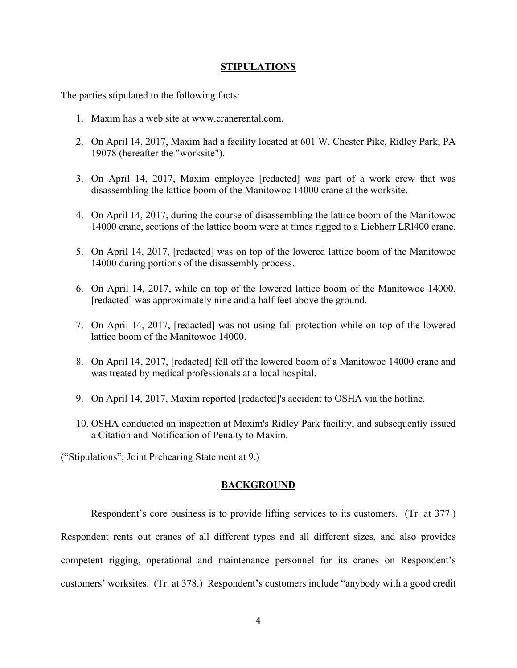## **STIPULATIONS**

The parties stipulated to the following facts:

- 1. Maxim has a web site at www.cranerental.com.
- 2. On April 14, 2017, Maxim had a facility located at 601 W. Chester Pike, Ridley Park, PA 19078 (hereafter the "worksite").
- 3. On April 14, 2017, Maxim employee [redacted] was part of a work crew that was disassembling the lattice boom of the Manitowoc 14000 crane at the worksite.
- 4. On April 14, 2017, during the course of disassembling the lattice boom of the Manitowoc 14000 crane, sections of the lattice boom were at times rigged to a Liebherr LRl400 crane.
- 5. On April 14, 2017, [redacted] was on top of the lowered lattice boom of the Manitowoc 14000 during portions of the disassembly process.
- 6. On April 14, 2017, while on top of the lowered lattice boom of the Manitowoc 14000, [redacted] was approximately nine and a half feet above the ground.
- 7. On April 14, 2017, [redacted] was not using fall protection while on top of the lowered lattice boom of the Manitowoc 14000.
- 8. On April 14, 2017, [redacted] fell off the lowered boom of a Manitowoc 14000 crane and was treated by medical professionals at a local hospital.
- 9. On April 14, 2017, Maxim reported [redacted]'s accident to OSHA via the hotline.
- 10. OSHA conducted an inspection at Maxim's Ridley Park facility, and subsequently issued a Citation and Notification of Penalty to Maxim.

("Stipulations"; Joint Prehearing Statement at 9.)

## **BACKGROUND**

Respondent's core business is to provide lifting services to its customers. (Tr. at 377.) Respondent rents out cranes of all different types and all different sizes, and also provides competent rigging, operational and maintenance personnel for its cranes on Respondent's customers' worksites. (Tr. at 378.) Respondent's customers include "anybody with a good credit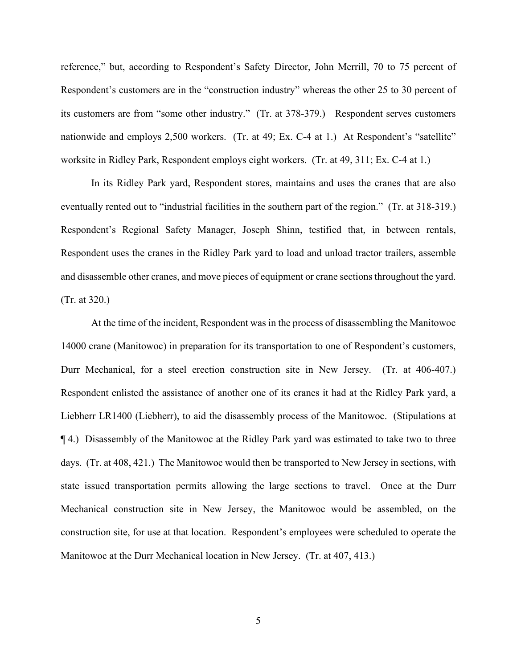reference," but, according to Respondent's Safety Director, John Merrill, 70 to 75 percent of Respondent's customers are in the "construction industry" whereas the other 25 to 30 percent of its customers are from "some other industry." (Tr. at 378-379.) Respondent serves customers nationwide and employs 2,500 workers. (Tr. at 49; Ex. C-4 at 1.) At Respondent's "satellite" worksite in Ridley Park, Respondent employs eight workers. (Tr. at 49, 311; Ex. C-4 at 1.)

In its Ridley Park yard, Respondent stores, maintains and uses the cranes that are also eventually rented out to "industrial facilities in the southern part of the region." (Tr. at 318-319.) Respondent's Regional Safety Manager, Joseph Shinn, testified that, in between rentals, Respondent uses the cranes in the Ridley Park yard to load and unload tractor trailers, assemble and disassemble other cranes, and move pieces of equipment or crane sections throughout the yard. (Tr. at 320.)

At the time of the incident, Respondent was in the process of disassembling the Manitowoc 14000 crane (Manitowoc) in preparation for its transportation to one of Respondent's customers, Durr Mechanical, for a steel erection construction site in New Jersey. (Tr. at 406-407.) Respondent enlisted the assistance of another one of its cranes it had at the Ridley Park yard, a Liebherr LR1400 (Liebherr), to aid the disassembly process of the Manitowoc. (Stipulations at ¶ 4.) Disassembly of the Manitowoc at the Ridley Park yard was estimated to take two to three days. (Tr. at 408, 421.) The Manitowoc would then be transported to New Jersey in sections, with state issued transportation permits allowing the large sections to travel. Once at the Durr Mechanical construction site in New Jersey, the Manitowoc would be assembled, on the construction site, for use at that location. Respondent's employees were scheduled to operate the Manitowoc at the Durr Mechanical location in New Jersey. (Tr. at 407, 413.)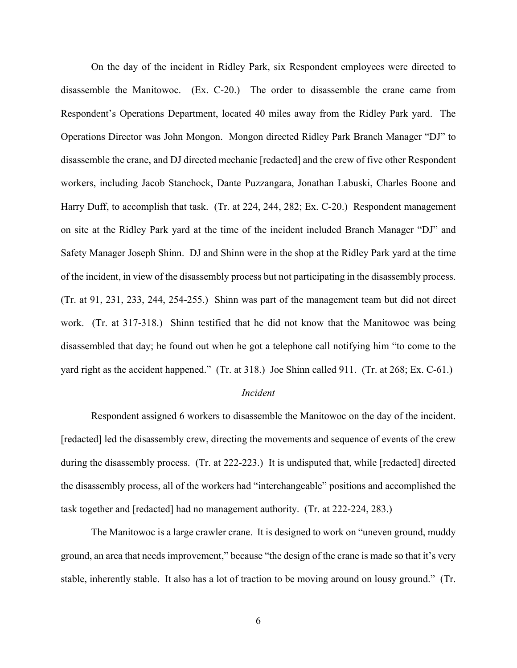On the day of the incident in Ridley Park, six Respondent employees were directed to disassemble the Manitowoc. (Ex. C-20.) The order to disassemble the crane came from Respondent's Operations Department, located 40 miles away from the Ridley Park yard. The Operations Director was John Mongon. Mongon directed Ridley Park Branch Manager "DJ" to disassemble the crane, and DJ directed mechanic [redacted] and the crew of five other Respondent workers, including Jacob Stanchock, Dante Puzzangara, Jonathan Labuski, Charles Boone and Harry Duff, to accomplish that task. (Tr. at 224, 244, 282; Ex. C-20.) Respondent management on site at the Ridley Park yard at the time of the incident included Branch Manager "DJ" and Safety Manager Joseph Shinn. DJ and Shinn were in the shop at the Ridley Park yard at the time of the incident, in view of the disassembly process but not participating in the disassembly process. (Tr. at 91, 231, 233, 244, 254-255.) Shinn was part of the management team but did not direct work. (Tr. at 317-318.) Shinn testified that he did not know that the Manitowoc was being disassembled that day; he found out when he got a telephone call notifying him "to come to the yard right as the accident happened." (Tr. at 318.) Joe Shinn called 911. (Tr. at 268; Ex. C-61.)

## *Incident*

Respondent assigned 6 workers to disassemble the Manitowoc on the day of the incident. [redacted] led the disassembly crew, directing the movements and sequence of events of the crew during the disassembly process. (Tr. at 222-223.) It is undisputed that, while [redacted] directed the disassembly process, all of the workers had "interchangeable" positions and accomplished the task together and [redacted] had no management authority. (Tr. at 222-224, 283.)

The Manitowoc is a large crawler crane. It is designed to work on "uneven ground, muddy ground, an area that needs improvement," because "the design of the crane is made so that it's very stable, inherently stable. It also has a lot of traction to be moving around on lousy ground." (Tr.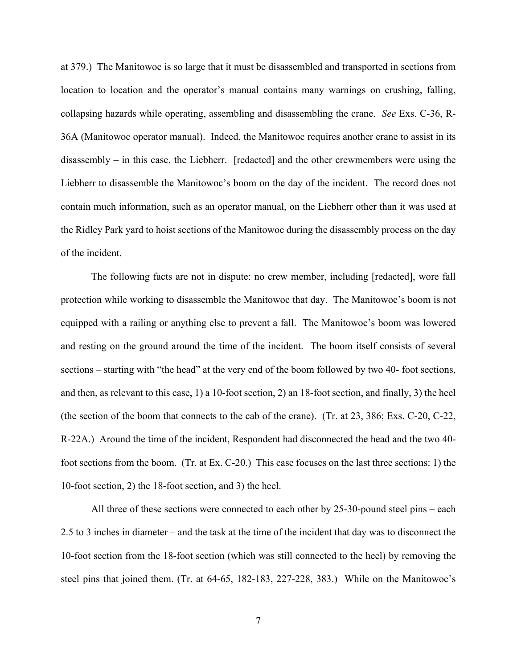at 379.) The Manitowoc is so large that it must be disassembled and transported in sections from location to location and the operator's manual contains many warnings on crushing, falling, collapsing hazards while operating, assembling and disassembling the crane. *See* Exs. C-36, R-36A (Manitowoc operator manual). Indeed, the Manitowoc requires another crane to assist in its disassembly – in this case, the Liebherr. [redacted] and the other crewmembers were using the Liebherr to disassemble the Manitowoc's boom on the day of the incident. The record does not contain much information, such as an operator manual, on the Liebherr other than it was used at the Ridley Park yard to hoist sections of the Manitowoc during the disassembly process on the day of the incident.

The following facts are not in dispute: no crew member, including [redacted], wore fall protection while working to disassemble the Manitowoc that day. The Manitowoc's boom is not equipped with a railing or anything else to prevent a fall. The Manitowoc's boom was lowered and resting on the ground around the time of the incident. The boom itself consists of several sections – starting with "the head" at the very end of the boom followed by two 40- foot sections, and then, as relevant to this case, 1) a 10-foot section, 2) an 18-foot section, and finally, 3) the heel (the section of the boom that connects to the cab of the crane). (Tr. at 23, 386; Exs. C-20, C-22, R-22A.) Around the time of the incident, Respondent had disconnected the head and the two 40 foot sections from the boom. (Tr. at Ex. C-20.) This case focuses on the last three sections: 1) the 10-foot section, 2) the 18-foot section, and 3) the heel.

All three of these sections were connected to each other by 25-30-pound steel pins – each 2.5 to 3 inches in diameter – and the task at the time of the incident that day was to disconnect the 10-foot section from the 18-foot section (which was still connected to the heel) by removing the steel pins that joined them. (Tr. at 64-65, 182-183, 227-228, 383.) While on the Manitowoc's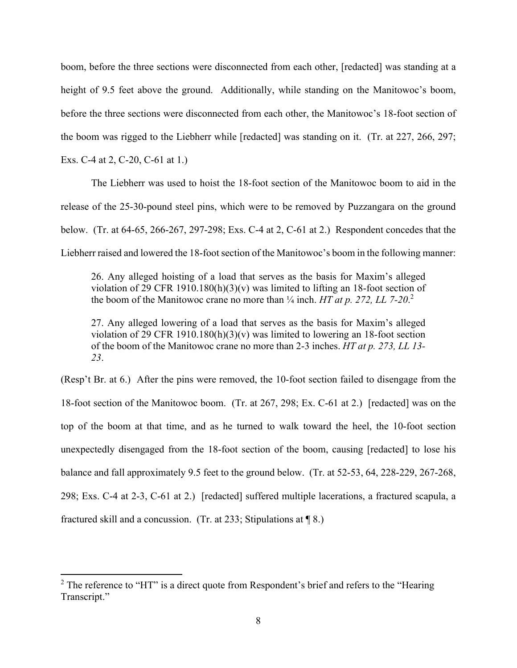boom, before the three sections were disconnected from each other, [redacted] was standing at a height of 9.5 feet above the ground. Additionally, while standing on the Manitowoc's boom, before the three sections were disconnected from each other, the Manitowoc's 18-foot section of the boom was rigged to the Liebherr while [redacted] was standing on it. (Tr. at 227, 266, 297;

Exs. C-4 at 2, C-20, C-61 at 1.)

The Liebherr was used to hoist the 18-foot section of the Manitowoc boom to aid in the release of the 25-30-pound steel pins, which were to be removed by Puzzangara on the ground below. (Tr. at 64-65, 266-267, 297-298; Exs. C-4 at 2, C-61 at 2.) Respondent concedes that the Liebherr raised and lowered the 18-foot section of the Manitowoc's boom in the following manner:

26. Any alleged hoisting of a load that serves as the basis for Maxim's alleged violation of 29 CFR 1910.180(h)(3)(v) was limited to lifting an 18-foot section of the boom of the Manitowoc crane no more than  $\frac{1}{4}$  inch. *HT at p. 272, LL 7-20.*<sup>2</sup>

27. Any alleged lowering of a load that serves as the basis for Maxim's alleged violation of 29 CFR 1910.180(h)(3)(v) was limited to lowering an 18-foot section of the boom of the Manitowoc crane no more than 2-3 inches. *HT at p. 273, LL 13- 23*.

(Resp't Br. at 6.) After the pins were removed, the 10-foot section failed to disengage from the 18-foot section of the Manitowoc boom. (Tr. at 267, 298; Ex. C-61 at 2.) [redacted] was on the top of the boom at that time, and as he turned to walk toward the heel, the 10-foot section unexpectedly disengaged from the 18-foot section of the boom, causing [redacted] to lose his balance and fall approximately 9.5 feet to the ground below. (Tr. at 52-53, 64, 228-229, 267-268, 298; Exs. C-4 at 2-3, C-61 at 2.) [redacted] suffered multiple lacerations, a fractured scapula, a fractured skill and a concussion. (Tr. at 233; Stipulations at ¶ 8.)

<sup>&</sup>lt;sup>2</sup> The reference to "HT" is a direct quote from Respondent's brief and refers to the "Hearing" Transcript."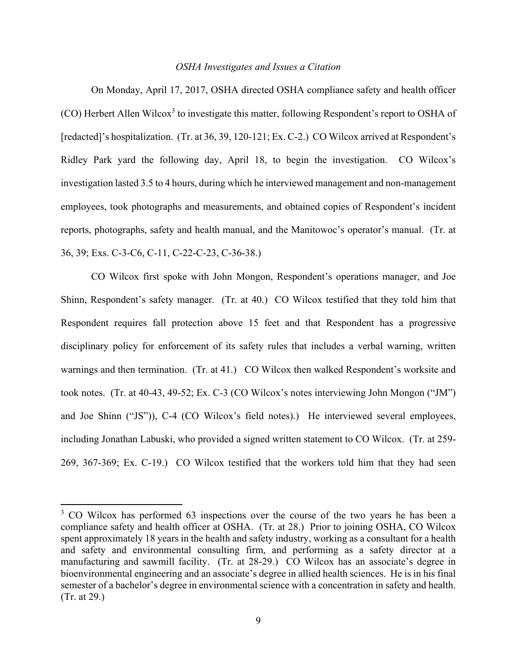## *OSHA Investigates and Issues a Citation*

On Monday, April 17, 2017, OSHA directed OSHA compliance safety and health officer (CO) Herbert Allen Wilcox<sup>3</sup> to investigate this matter, following Respondent's report to OSHA of [redacted]'s hospitalization. (Tr. at 36, 39, 120-121; Ex. C-2.) CO Wilcox arrived at Respondent's Ridley Park yard the following day, April 18, to begin the investigation. CO Wilcox's investigation lasted 3.5 to 4 hours, during which he interviewed management and non-management employees, took photographs and measurements, and obtained copies of Respondent's incident reports, photographs, safety and health manual, and the Manitowoc's operator's manual. (Tr. at 36, 39; Exs. C-3-C6, C-11, C-22-C-23, C-36-38.)

CO Wilcox first spoke with John Mongon, Respondent's operations manager, and Joe Shinn, Respondent's safety manager. (Tr. at 40.) CO Wilcox testified that they told him that Respondent requires fall protection above 15 feet and that Respondent has a progressive disciplinary policy for enforcement of its safety rules that includes a verbal warning, written warnings and then termination. (Tr. at 41.) CO Wilcox then walked Respondent's worksite and took notes. (Tr. at 40-43, 49-52; Ex. C-3 (CO Wilcox's notes interviewing John Mongon ("JM") and Joe Shinn ("JS")), C-4 (CO Wilcox's field notes).) He interviewed several employees, including Jonathan Labuski, who provided a signed written statement to CO Wilcox. (Tr. at 259- 269, 367-369; Ex. C-19.) CO Wilcox testified that the workers told him that they had seen

<sup>&</sup>lt;sup>3</sup> CO Wilcox has performed 63 inspections over the course of the two years he has been a compliance safety and health officer at OSHA. (Tr. at 28.) Prior to joining OSHA, CO Wilcox spent approximately 18 years in the health and safety industry, working as a consultant for a health and safety and environmental consulting firm, and performing as a safety director at a manufacturing and sawmill facility. (Tr. at 28-29.) CO Wilcox has an associate's degree in bioenvironmental engineering and an associate's degree in allied health sciences. He is in his final semester of a bachelor's degree in environmental science with a concentration in safety and health. (Tr. at 29.)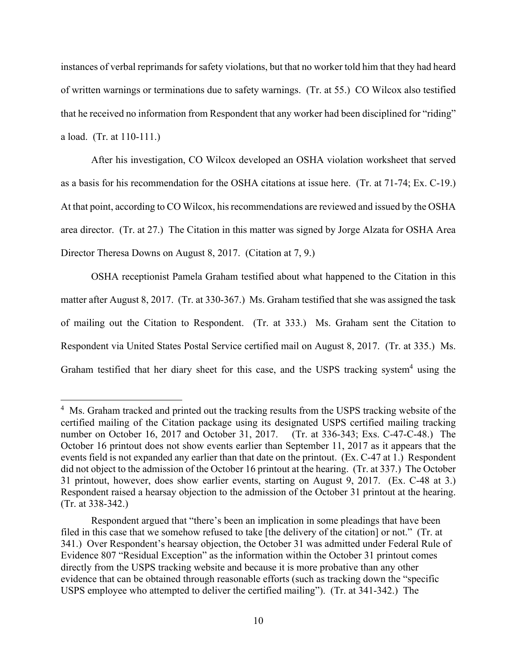instances of verbal reprimands for safety violations, but that no worker told him that they had heard of written warnings or terminations due to safety warnings. (Tr. at 55.) CO Wilcox also testified that he received no information from Respondent that any worker had been disciplined for "riding" a load. (Tr. at 110-111.)

After his investigation, CO Wilcox developed an OSHA violation worksheet that served as a basis for his recommendation for the OSHA citations at issue here. (Tr. at 71-74; Ex. C-19.) At that point, according to CO Wilcox, his recommendations are reviewed and issued by the OSHA area director. (Tr. at 27.) The Citation in this matter was signed by Jorge Alzata for OSHA Area Director Theresa Downs on August 8, 2017. (Citation at 7, 9.)

OSHA receptionist Pamela Graham testified about what happened to the Citation in this matter after August 8, 2017. (Tr. at 330-367.) Ms. Graham testified that she was assigned the task of mailing out the Citation to Respondent. (Tr. at 333.) Ms. Graham sent the Citation to Respondent via United States Postal Service certified mail on August 8, 2017. (Tr. at 335.) Ms. Graham testified that her diary sheet for this case, and the USPS tracking system<sup>4</sup> using the

<sup>&</sup>lt;sup>4</sup> Ms. Graham tracked and printed out the tracking results from the USPS tracking website of the certified mailing of the Citation package using its designated USPS certified mailing tracking number on October 16, 2017 and October 31, 2017. (Tr. at 336-343; Exs. C-47-C-48.) The October 16 printout does not show events earlier than September 11, 2017 as it appears that the events field is not expanded any earlier than that date on the printout. (Ex. C-47 at 1.) Respondent did not object to the admission of the October 16 printout at the hearing. (Tr. at 337.) The October 31 printout, however, does show earlier events, starting on August 9, 2017. (Ex. C-48 at 3.) Respondent raised a hearsay objection to the admission of the October 31 printout at the hearing. (Tr. at 338-342.)

Respondent argued that "there's been an implication in some pleadings that have been filed in this case that we somehow refused to take [the delivery of the citation] or not." (Tr. at 341.) Over Respondent's hearsay objection, the October 31 was admitted under Federal Rule of Evidence 807 "Residual Exception" as the information within the October 31 printout comes directly from the USPS tracking website and because it is more probative than any other evidence that can be obtained through reasonable efforts (such as tracking down the "specific USPS employee who attempted to deliver the certified mailing"). (Tr. at 341-342.) The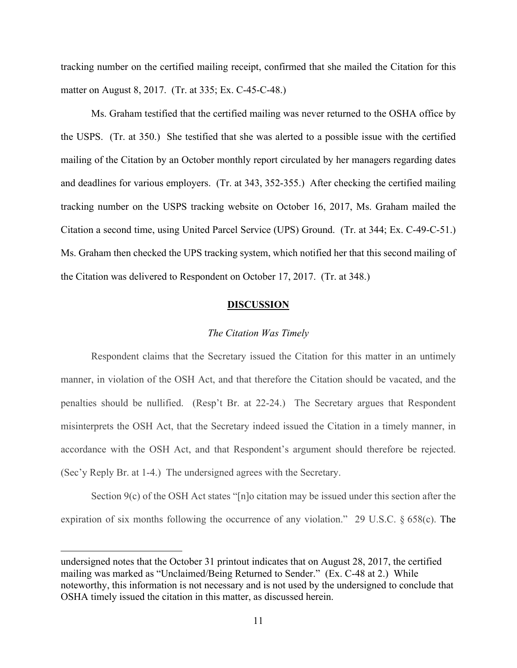tracking number on the certified mailing receipt, confirmed that she mailed the Citation for this matter on August 8, 2017. (Tr. at 335; Ex. C-45-C-48.)

Ms. Graham testified that the certified mailing was never returned to the OSHA office by the USPS. (Tr. at 350.) She testified that she was alerted to a possible issue with the certified mailing of the Citation by an October monthly report circulated by her managers regarding dates and deadlines for various employers. (Tr. at 343, 352-355.) After checking the certified mailing tracking number on the USPS tracking website on October 16, 2017, Ms. Graham mailed the Citation a second time, using United Parcel Service (UPS) Ground. (Tr. at 344; Ex. C-49-C-51.) Ms. Graham then checked the UPS tracking system, which notified her that this second mailing of the Citation was delivered to Respondent on October 17, 2017. (Tr. at 348.)

#### **DISCUSSION**

## *The Citation Was Timely*

Respondent claims that the Secretary issued the Citation for this matter in an untimely manner, in violation of the OSH Act, and that therefore the Citation should be vacated, and the penalties should be nullified. (Resp't Br. at 22-24.) The Secretary argues that Respondent misinterprets the OSH Act, that the Secretary indeed issued the Citation in a timely manner, in accordance with the OSH Act, and that Respondent's argument should therefore be rejected. (Sec'y Reply Br. at 1-4.) The undersigned agrees with the Secretary.

Section 9(c) of the OSH Act states "[n]o citation may be issued under this section after the expiration of six months following the occurrence of any violation." 29 U.S.C. § 658(c). The

undersigned notes that the October 31 printout indicates that on August 28, 2017, the certified mailing was marked as "Unclaimed/Being Returned to Sender." (Ex. C-48 at 2.) While noteworthy, this information is not necessary and is not used by the undersigned to conclude that OSHA timely issued the citation in this matter, as discussed herein.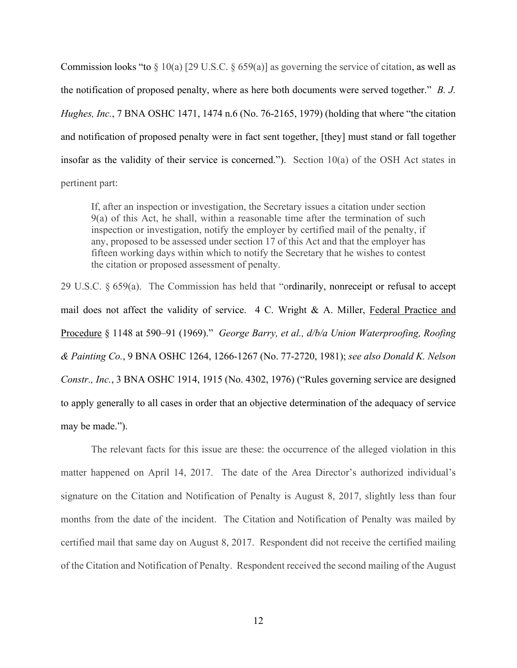Commission looks "to  $\S 10(a)$  [29 U.S.C.  $\S 659(a)$ ] as governing the service of citation, as well as the notification of proposed penalty, where as here both documents were served together." *B. J. Hughes, Inc.*, 7 BNA OSHC 1471, 1474 n.6 (No. 76-2165, 1979) (holding that where "the citation and notification of proposed penalty were in fact sent together, [they] must stand or fall together insofar as the validity of their service is concerned."). Section 10(a) of the OSH Act states in pertinent part:

If, after an inspection or investigation, the Secretary issues a citation under section 9(a) of this Act, he shall, within a reasonable time after the termination of such inspection or investigation, notify the employer by certified mail of the penalty, if any, proposed to be assessed under section 17 of this Act and that the employer has fifteen working days within which to notify the Secretary that he wishes to contest the citation or proposed assessment of penalty.

29 U.S.C. § 659(a). The Commission has held that "ordinarily, nonreceipt or refusal to accept mail does not affect the validity of service. 4 C. Wright & A. Miller, Federal Practice and Procedure § 1148 at 590–91 (1969)." *George Barry, et al., d/b/a Union Waterproofing, Roofing & Painting Co.*, 9 BNA OSHC 1264, 1266-1267 (No. 77-2720, 1981); *see also Donald K. Nelson Constr., Inc.*, 3 BNA OSHC 1914, 1915 (No. 4302, 1976) ("Rules governing service are designed to apply generally to all cases in order that an objective determination of the adequacy of service may be made.").

 The relevant facts for this issue are these: the occurrence of the alleged violation in this matter happened on April 14, 2017. The date of the Area Director's authorized individual's signature on the Citation and Notification of Penalty is August 8, 2017, slightly less than four months from the date of the incident. The Citation and Notification of Penalty was mailed by certified mail that same day on August 8, 2017. Respondent did not receive the certified mailing of the Citation and Notification of Penalty. Respondent received the second mailing of the August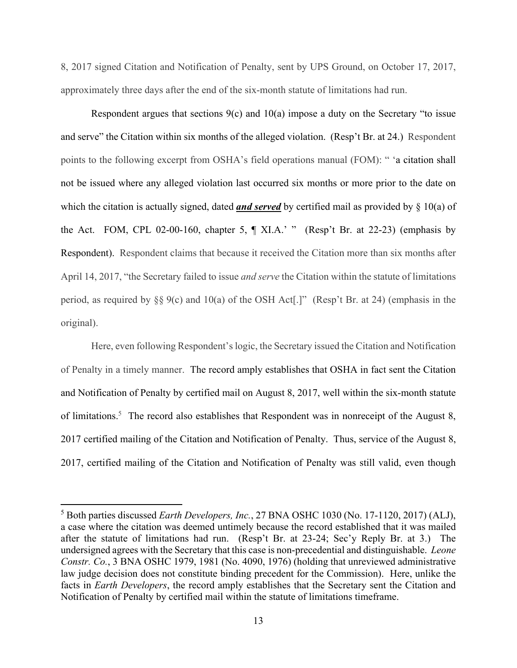8, 2017 signed Citation and Notification of Penalty, sent by UPS Ground, on October 17, 2017, approximately three days after the end of the six-month statute of limitations had run.

Respondent argues that sections  $9(c)$  and  $10(a)$  impose a duty on the Secretary "to issue and serve" the Citation within six months of the alleged violation. (Resp't Br. at 24.) Respondent points to the following excerpt from OSHA's field operations manual (FOM): " 'a citation shall not be issued where any alleged violation last occurred six months or more prior to the date on which the citation is actually signed, dated *and served* by certified mail as provided by § 10(a) of the Act. FOM, CPL 02-00-160, chapter 5,  $\P$  XI.A.' " (Resp't Br. at 22-23) (emphasis by Respondent). Respondent claims that because it received the Citation more than six months after April 14, 2017, "the Secretary failed to issue *and serve* the Citation within the statute of limitations period, as required by §§ 9(c) and 10(a) of the OSH Act[.]" (Resp't Br. at 24) (emphasis in the original).

Here, even following Respondent's logic, the Secretary issued the Citation and Notification of Penalty in a timely manner. The record amply establishes that OSHA in fact sent the Citation and Notification of Penalty by certified mail on August 8, 2017, well within the six-month statute of limitations.<sup>5</sup> The record also establishes that Respondent was in nonreceipt of the August 8, 2017 certified mailing of the Citation and Notification of Penalty. Thus, service of the August 8, 2017, certified mailing of the Citation and Notification of Penalty was still valid, even though

<sup>5</sup> Both parties discussed *Earth Developers, Inc.*, 27 BNA OSHC 1030 (No. 17-1120, 2017) (ALJ), a case where the citation was deemed untimely because the record established that it was mailed after the statute of limitations had run. (Resp't Br. at 23-24; Sec'y Reply Br. at 3.) The undersigned agrees with the Secretary that this case is non-precedential and distinguishable. *Leone Constr. Co.*, 3 BNA OSHC 1979, 1981 (No. 4090, 1976) (holding that unreviewed administrative law judge decision does not constitute binding precedent for the Commission). Here, unlike the facts in *Earth Developers*, the record amply establishes that the Secretary sent the Citation and Notification of Penalty by certified mail within the statute of limitations timeframe.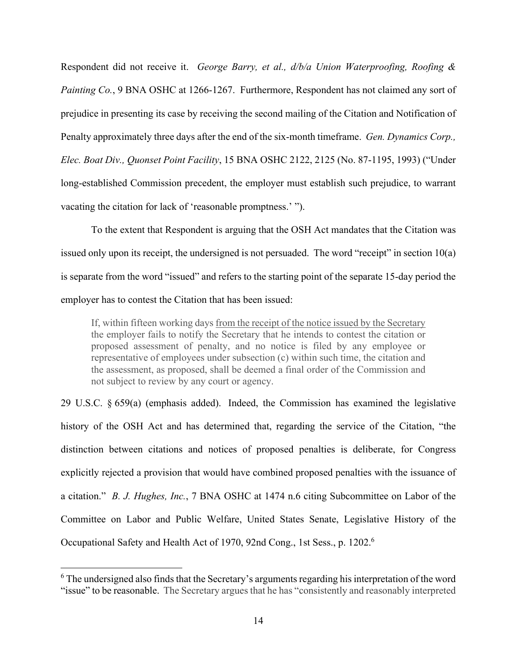Respondent did not receive it. *George Barry, et al., d/b/a Union Waterproofing, Roofing & Painting Co.*, 9 BNA OSHC at 1266-1267. Furthermore, Respondent has not claimed any sort of prejudice in presenting its case by receiving the second mailing of the Citation and Notification of Penalty approximately three days after the end of the six-month timeframe. *Gen. Dynamics Corp., Elec. Boat Div., Quonset Point Facility*, 15 BNA OSHC 2122, 2125 (No. 87-1195, 1993) ("Under long-established Commission precedent, the employer must establish such prejudice, to warrant vacating the citation for lack of 'reasonable promptness.' ").

To the extent that Respondent is arguing that the OSH Act mandates that the Citation was issued only upon its receipt, the undersigned is not persuaded. The word "receipt" in section 10(a) is separate from the word "issued" and refers to the starting point of the separate 15-day period the employer has to contest the Citation that has been issued:

If, within fifteen working days from the receipt of the notice issued by the Secretary the employer fails to notify the Secretary that he intends to contest the citation or proposed assessment of penalty, and no notice is filed by any employee or representative of employees under subsection (c) within such time, the citation and the assessment, as proposed, shall be deemed a final order of the Commission and not subject to review by any court or agency.

29 U.S.C. § 659(a) (emphasis added). Indeed, the Commission has examined the legislative history of the OSH Act and has determined that, regarding the service of the Citation, "the distinction between citations and notices of proposed penalties is deliberate, for Congress explicitly rejected a provision that would have combined proposed penalties with the issuance of a citation." *B. J. Hughes, Inc.*, 7 BNA OSHC at 1474 n.6 citing Subcommittee on Labor of the Committee on Labor and Public Welfare, United States Senate, Legislative History of the Occupational Safety and Health Act of 1970, 92nd Cong., 1st Sess., p. 1202.6

<sup>&</sup>lt;sup>6</sup> The undersigned also finds that the Secretary's arguments regarding his interpretation of the word "issue" to be reasonable. The Secretary argues that he has "consistently and reasonably interpreted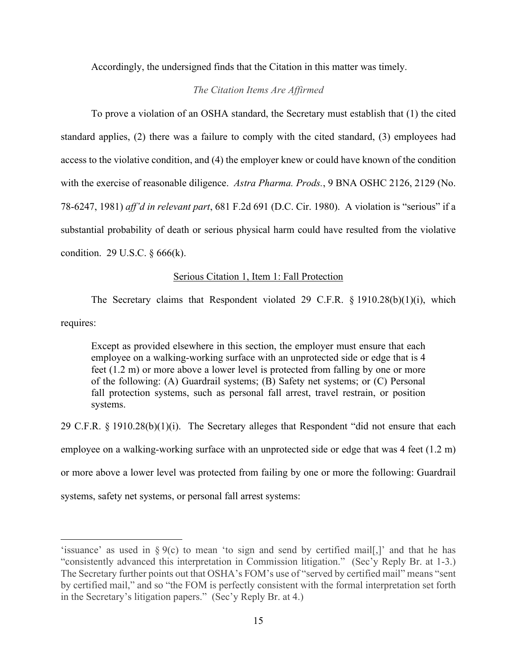Accordingly, the undersigned finds that the Citation in this matter was timely.

## *The Citation Items Are Affirmed*

To prove a violation of an OSHA standard, the Secretary must establish that (1) the cited standard applies, (2) there was a failure to comply with the cited standard, (3) employees had access to the violative condition, and (4) the employer knew or could have known of the condition with the exercise of reasonable diligence. *Astra Pharma. Prods.*, 9 BNA OSHC 2126, 2129 (No. 78-6247, 1981) *aff'd in relevant part*, 681 F.2d 691 (D.C. Cir. 1980). A violation is "serious" if a substantial probability of death or serious physical harm could have resulted from the violative condition. 29 U.S.C. § 666(k).

## Serious Citation 1, Item 1: Fall Protection

The Secretary claims that Respondent violated 29 C.F.R. § 1910.28(b)(1)(i), which requires:

Except as provided elsewhere in this section, the employer must ensure that each employee on a walking-working surface with an unprotected side or edge that is 4 feet (1.2 m) or more above a lower level is protected from falling by one or more of the following: (A) Guardrail systems; (B) Safety net systems; or (C) Personal fall protection systems, such as personal fall arrest, travel restrain, or position systems.

29 C.F.R. § 1910.28(b)(1)(i). The Secretary alleges that Respondent "did not ensure that each employee on a walking-working surface with an unprotected side or edge that was 4 feet (1.2 m) or more above a lower level was protected from failing by one or more the following: Guardrail systems, safety net systems, or personal fall arrest systems:

<sup>&#</sup>x27;issuance' as used in  $\S 9(c)$  to mean 'to sign and send by certified mail[,]' and that he has "consistently advanced this interpretation in Commission litigation." (Sec'y Reply Br. at 1-3.) The Secretary further points out that OSHA's FOM's use of "served by certified mail" means "sent by certified mail," and so "the FOM is perfectly consistent with the formal interpretation set forth in the Secretary's litigation papers." (Sec'y Reply Br. at 4.)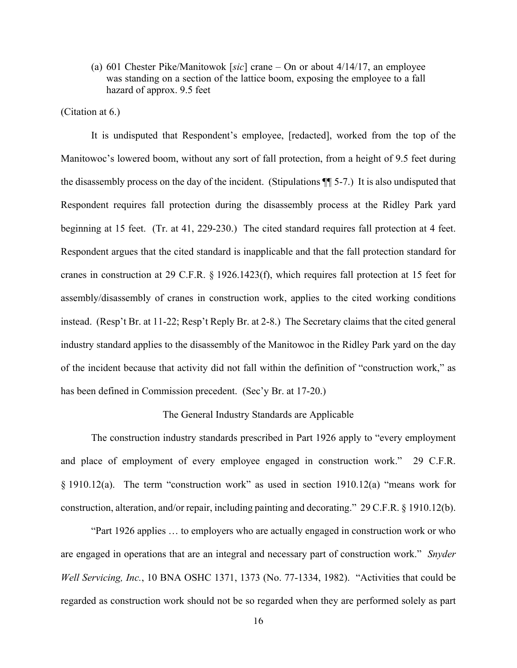(a) 601 Chester Pike/Manitowok [*sic*] crane – On or about 4/14/17, an employee was standing on a section of the lattice boom, exposing the employee to a fall hazard of approx. 9.5 feet

(Citation at 6.)

It is undisputed that Respondent's employee, [redacted], worked from the top of the Manitowoc's lowered boom, without any sort of fall protection, from a height of 9.5 feet during the disassembly process on the day of the incident. (Stipulations ¶¶ 5-7.) It is also undisputed that Respondent requires fall protection during the disassembly process at the Ridley Park yard beginning at 15 feet. (Tr. at 41, 229-230.) The cited standard requires fall protection at 4 feet. Respondent argues that the cited standard is inapplicable and that the fall protection standard for cranes in construction at 29 C.F.R. § 1926.1423(f), which requires fall protection at 15 feet for assembly/disassembly of cranes in construction work, applies to the cited working conditions instead. (Resp't Br. at 11-22; Resp't Reply Br. at 2-8.) The Secretary claims that the cited general industry standard applies to the disassembly of the Manitowoc in the Ridley Park yard on the day of the incident because that activity did not fall within the definition of "construction work," as has been defined in Commission precedent. (Sec'y Br. at 17-20.)

## The General Industry Standards are Applicable

The construction industry standards prescribed in Part 1926 apply to "every employment and place of employment of every employee engaged in construction work." 29 C.F.R. § 1910.12(a). The term "construction work" as used in section 1910.12(a) "means work for construction, alteration, and/or repair, including painting and decorating." 29 C.F.R. § 1910.12(b).

"Part 1926 applies … to employers who are actually engaged in construction work or who are engaged in operations that are an integral and necessary part of construction work." *Snyder Well Servicing, Inc.*, 10 BNA OSHC 1371, 1373 (No. 77-1334, 1982). "Activities that could be regarded as construction work should not be so regarded when they are performed solely as part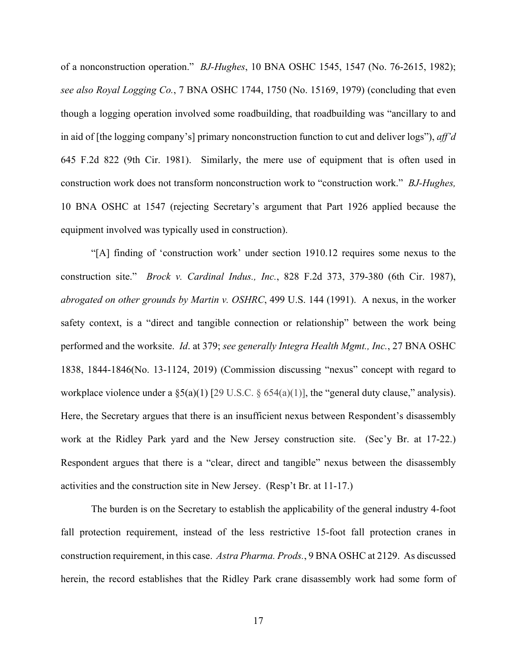of a nonconstruction operation." *BJ-Hughes*, 10 BNA OSHC 1545, 1547 (No. 76-2615, 1982); *see also Royal Logging Co.*, 7 BNA OSHC 1744, 1750 (No. 15169, 1979) (concluding that even though a logging operation involved some roadbuilding, that roadbuilding was "ancillary to and in aid of [the logging company's] primary nonconstruction function to cut and deliver logs"), *aff'd* 645 F.2d 822 (9th Cir. 1981). Similarly, the mere use of equipment that is often used in construction work does not transform nonconstruction work to "construction work." *BJ-Hughes,* 10 BNA OSHC at 1547 (rejecting Secretary's argument that Part 1926 applied because the equipment involved was typically used in construction).

 "[A] finding of 'construction work' under section 1910.12 requires some nexus to the construction site." *Brock v. Cardinal Indus., Inc.*, 828 F.2d 373, 379-380 (6th Cir. 1987), *abrogated on other grounds by Martin v. OSHRC*, 499 U.S. 144 (1991). A nexus, in the worker safety context, is a "direct and tangible connection or relationship" between the work being performed and the worksite. *Id*. at 379; *see generally Integra Health Mgmt., Inc.*, 27 BNA OSHC 1838, 1844-1846(No. 13-1124, 2019) (Commission discussing "nexus" concept with regard to workplace violence under a §5(a)(1) [29 U.S.C. § 654(a)(1)], the "general duty clause," analysis). Here, the Secretary argues that there is an insufficient nexus between Respondent's disassembly work at the Ridley Park yard and the New Jersey construction site. (Sec'y Br. at 17-22.) Respondent argues that there is a "clear, direct and tangible" nexus between the disassembly activities and the construction site in New Jersey. (Resp't Br. at 11-17.)

The burden is on the Secretary to establish the applicability of the general industry 4-foot fall protection requirement, instead of the less restrictive 15-foot fall protection cranes in construction requirement, in this case. *Astra Pharma. Prods.*, 9 BNA OSHC at 2129. As discussed herein, the record establishes that the Ridley Park crane disassembly work had some form of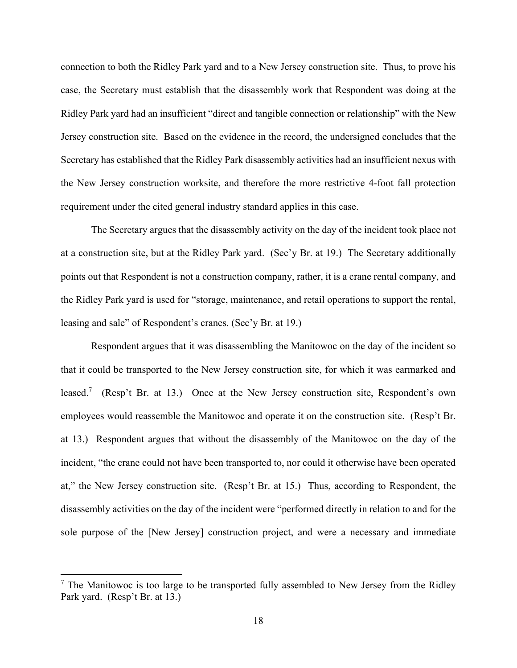connection to both the Ridley Park yard and to a New Jersey construction site. Thus, to prove his case, the Secretary must establish that the disassembly work that Respondent was doing at the Ridley Park yard had an insufficient "direct and tangible connection or relationship" with the New Jersey construction site. Based on the evidence in the record, the undersigned concludes that the Secretary has established that the Ridley Park disassembly activities had an insufficient nexus with the New Jersey construction worksite, and therefore the more restrictive 4-foot fall protection requirement under the cited general industry standard applies in this case.

 The Secretary argues that the disassembly activity on the day of the incident took place not at a construction site, but at the Ridley Park yard. (Sec'y Br. at 19.) The Secretary additionally points out that Respondent is not a construction company, rather, it is a crane rental company, and the Ridley Park yard is used for "storage, maintenance, and retail operations to support the rental, leasing and sale" of Respondent's cranes. (Sec'y Br. at 19.)

Respondent argues that it was disassembling the Manitowoc on the day of the incident so that it could be transported to the New Jersey construction site, for which it was earmarked and leased.<sup>7</sup> (Resp't Br. at 13.) Once at the New Jersey construction site, Respondent's own employees would reassemble the Manitowoc and operate it on the construction site. (Resp't Br. at 13.) Respondent argues that without the disassembly of the Manitowoc on the day of the incident, "the crane could not have been transported to, nor could it otherwise have been operated at," the New Jersey construction site. (Resp't Br. at 15.) Thus, according to Respondent, the disassembly activities on the day of the incident were "performed directly in relation to and for the sole purpose of the [New Jersey] construction project, and were a necessary and immediate

 $<sup>7</sup>$  The Manitowoc is too large to be transported fully assembled to New Jersey from the Ridley</sup> Park yard. (Resp't Br. at 13.)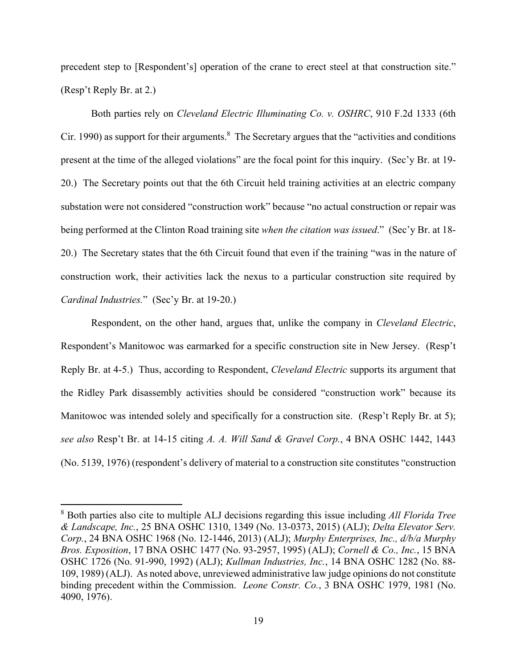precedent step to [Respondent's] operation of the crane to erect steel at that construction site." (Resp't Reply Br. at 2.)

 Both parties rely on *Cleveland Electric Illuminating Co. v. OSHRC*, 910 F.2d 1333 (6th Cir. 1990) as support for their arguments.<sup>8</sup> The Secretary argues that the "activities and conditions present at the time of the alleged violations" are the focal point for this inquiry. (Sec'y Br. at 19- 20.) The Secretary points out that the 6th Circuit held training activities at an electric company substation were not considered "construction work" because "no actual construction or repair was being performed at the Clinton Road training site *when the citation was issued*." (Sec'y Br. at 18- 20.) The Secretary states that the 6th Circuit found that even if the training "was in the nature of construction work, their activities lack the nexus to a particular construction site required by *Cardinal Industries.*" (Sec'y Br. at 19-20.)

 Respondent, on the other hand, argues that, unlike the company in *Cleveland Electric*, Respondent's Manitowoc was earmarked for a specific construction site in New Jersey. (Resp't Reply Br. at 4-5.) Thus, according to Respondent, *Cleveland Electric* supports its argument that the Ridley Park disassembly activities should be considered "construction work" because its Manitowoc was intended solely and specifically for a construction site. (Resp't Reply Br. at 5); *see also* Resp't Br. at 14-15 citing *A. A. Will Sand & Gravel Corp.*, 4 BNA OSHC 1442, 1443 (No. 5139, 1976) (respondent's delivery of material to a construction site constitutes "construction

<sup>8</sup> Both parties also cite to multiple ALJ decisions regarding this issue including *All Florida Tree & Landscape, Inc.*, 25 BNA OSHC 1310, 1349 (No. 13-0373, 2015) (ALJ); *Delta Elevator Serv. Corp.*, 24 BNA OSHC 1968 (No. 12-1446, 2013) (ALJ); *Murphy Enterprises, Inc., d/b/a Murphy Bros. Exposition*, 17 BNA OSHC 1477 (No. 93-2957, 1995) (ALJ); *Cornell & Co., Inc.*, 15 BNA OSHC 1726 (No. 91-990, 1992) (ALJ); *Kullman Industries, Inc.*, 14 BNA OSHC 1282 (No. 88- 109, 1989) (ALJ). As noted above, unreviewed administrative law judge opinions do not constitute binding precedent within the Commission. *Leone Constr. Co.*, 3 BNA OSHC 1979, 1981 (No. 4090, 1976).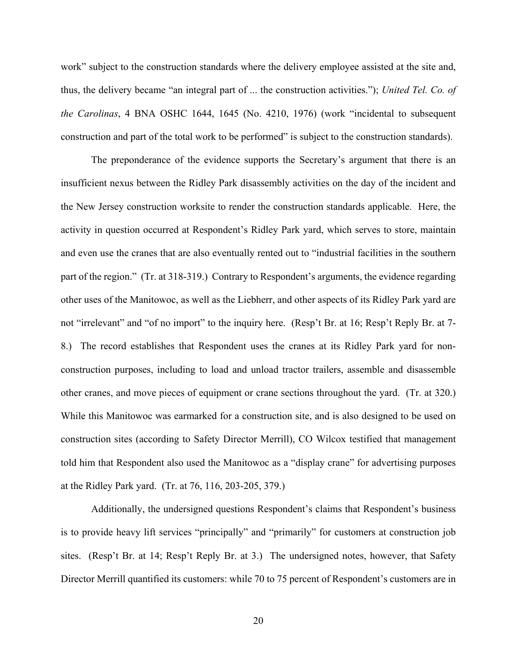work" subject to the construction standards where the delivery employee assisted at the site and, thus, the delivery became "an integral part of ... the construction activities."); *United Tel. Co. of the Carolinas*, 4 BNA OSHC 1644, 1645 (No. 4210, 1976) (work "incidental to subsequent construction and part of the total work to be performed" is subject to the construction standards).

 The preponderance of the evidence supports the Secretary's argument that there is an insufficient nexus between the Ridley Park disassembly activities on the day of the incident and the New Jersey construction worksite to render the construction standards applicable. Here, the activity in question occurred at Respondent's Ridley Park yard, which serves to store, maintain and even use the cranes that are also eventually rented out to "industrial facilities in the southern part of the region." (Tr. at 318-319.) Contrary to Respondent's arguments, the evidence regarding other uses of the Manitowoc, as well as the Liebherr, and other aspects of its Ridley Park yard are not "irrelevant" and "of no import" to the inquiry here. (Resp't Br. at 16; Resp't Reply Br. at 7- 8.) The record establishes that Respondent uses the cranes at its Ridley Park yard for nonconstruction purposes, including to load and unload tractor trailers, assemble and disassemble other cranes, and move pieces of equipment or crane sections throughout the yard. (Tr. at 320.) While this Manitowoc was earmarked for a construction site, and is also designed to be used on construction sites (according to Safety Director Merrill), CO Wilcox testified that management told him that Respondent also used the Manitowoc as a "display crane" for advertising purposes at the Ridley Park yard. (Tr. at 76, 116, 203-205, 379.)

Additionally, the undersigned questions Respondent's claims that Respondent's business is to provide heavy lift services "principally" and "primarily" for customers at construction job sites. (Resp't Br. at 14; Resp't Reply Br. at 3.) The undersigned notes, however, that Safety Director Merrill quantified its customers: while 70 to 75 percent of Respondent's customers are in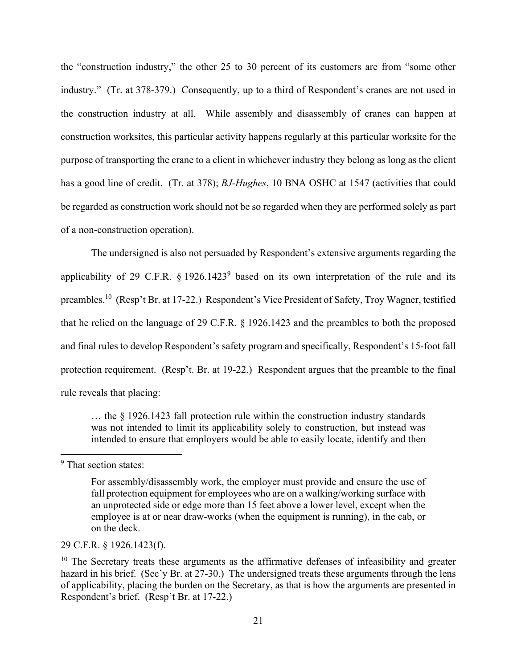the "construction industry," the other 25 to 30 percent of its customers are from "some other industry." (Tr. at 378-379.) Consequently, up to a third of Respondent's cranes are not used in the construction industry at all. While assembly and disassembly of cranes can happen at construction worksites, this particular activity happens regularly at this particular worksite for the purpose of transporting the crane to a client in whichever industry they belong as long as the client has a good line of credit. (Tr. at 378); *BJ-Hughes*, 10 BNA OSHC at 1547 (activities that could be regarded as construction work should not be so regarded when they are performed solely as part of a non-construction operation).

The undersigned is also not persuaded by Respondent's extensive arguments regarding the applicability of 29 C.F.R.  $\S 1926.1423^9$  based on its own interpretation of the rule and its preambles.10 (Resp't Br. at 17-22.) Respondent's Vice President of Safety, Troy Wagner, testified that he relied on the language of 29 C.F.R. § 1926.1423 and the preambles to both the proposed and final rules to develop Respondent's safety program and specifically, Respondent's 15-foot fall protection requirement. (Resp't. Br. at 19-22.) Respondent argues that the preamble to the final rule reveals that placing:

… the § 1926.1423 fall protection rule within the construction industry standards was not intended to limit its applicability solely to construction, but instead was intended to ensure that employers would be able to easily locate, identify and then

29 C.F.R. § 1926.1423(f).

<sup>&</sup>lt;sup>9</sup> That section states:

For assembly/disassembly work, the employer must provide and ensure the use of fall protection equipment for employees who are on a walking/working surface with an unprotected side or edge more than 15 feet above a lower level, except when the employee is at or near draw-works (when the equipment is running), in the cab, or on the deck.

 $10$  The Secretary treats these arguments as the affirmative defenses of infeasibility and greater hazard in his brief. (Sec'y Br. at 27-30.) The undersigned treats these arguments through the lens of applicability, placing the burden on the Secretary, as that is how the arguments are presented in Respondent's brief. (Resp't Br. at 17-22.)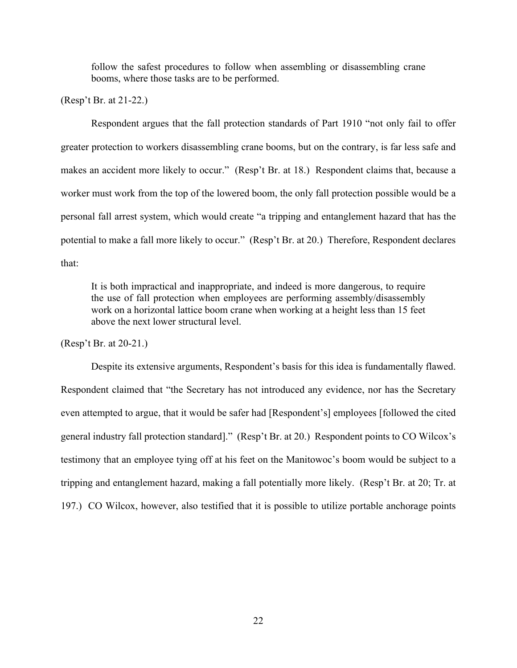follow the safest procedures to follow when assembling or disassembling crane booms, where those tasks are to be performed.

(Resp't Br. at 21-22.)

Respondent argues that the fall protection standards of Part 1910 "not only fail to offer greater protection to workers disassembling crane booms, but on the contrary, is far less safe and makes an accident more likely to occur." (Resp't Br. at 18.) Respondent claims that, because a worker must work from the top of the lowered boom, the only fall protection possible would be a personal fall arrest system, which would create "a tripping and entanglement hazard that has the potential to make a fall more likely to occur." (Resp't Br. at 20.) Therefore, Respondent declares that:

It is both impractical and inappropriate, and indeed is more dangerous, to require the use of fall protection when employees are performing assembly/disassembly work on a horizontal lattice boom crane when working at a height less than 15 feet above the next lower structural level.

(Resp't Br. at 20-21.)

Despite its extensive arguments, Respondent's basis for this idea is fundamentally flawed. Respondent claimed that "the Secretary has not introduced any evidence, nor has the Secretary even attempted to argue, that it would be safer had [Respondent's] employees [followed the cited general industry fall protection standard]." (Resp't Br. at 20.) Respondent points to CO Wilcox's testimony that an employee tying off at his feet on the Manitowoc's boom would be subject to a tripping and entanglement hazard, making a fall potentially more likely. (Resp't Br. at 20; Tr. at 197.) CO Wilcox, however, also testified that it is possible to utilize portable anchorage points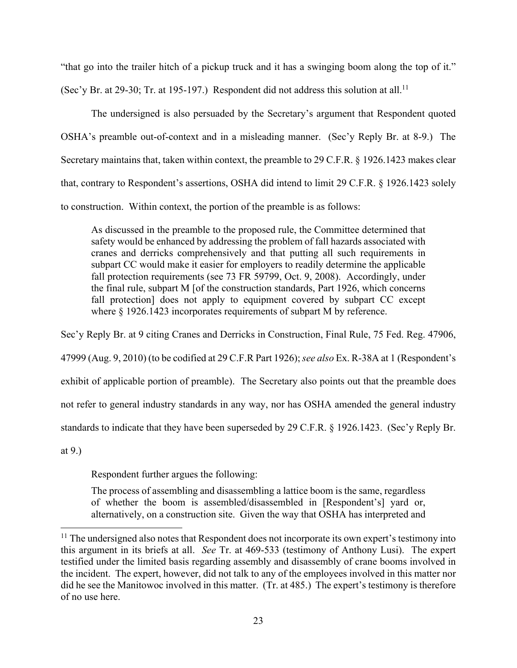"that go into the trailer hitch of a pickup truck and it has a swinging boom along the top of it."

(Sec'y Br. at 29-30; Tr. at 195-197.) Respondent did not address this solution at all.<sup>11</sup>

The undersigned is also persuaded by the Secretary's argument that Respondent quoted OSHA's preamble out-of-context and in a misleading manner. (Sec'y Reply Br. at 8-9.) The Secretary maintains that, taken within context, the preamble to 29 C.F.R. § 1926.1423 makes clear that, contrary to Respondent's assertions, OSHA did intend to limit 29 C.F.R. § 1926.1423 solely to construction. Within context, the portion of the preamble is as follows:

As discussed in the preamble to the proposed rule, the Committee determined that safety would be enhanced by addressing the problem of fall hazards associated with cranes and derricks comprehensively and that putting all such requirements in subpart CC would make it easier for employers to readily determine the applicable fall protection requirements (see 73 FR 59799, Oct. 9, 2008). Accordingly, under the final rule, subpart M [of the construction standards, Part 1926, which concerns fall protection] does not apply to equipment covered by subpart CC except where  $\S$  1926.1423 incorporates requirements of subpart M by reference.

Sec'y Reply Br. at 9 citing Cranes and Derricks in Construction, Final Rule, 75 Fed. Reg. 47906, 47999 (Aug. 9, 2010) (to be codified at 29 C.F.R Part 1926); *see also* Ex. R-38A at 1 (Respondent's exhibit of applicable portion of preamble). The Secretary also points out that the preamble does not refer to general industry standards in any way, nor has OSHA amended the general industry standards to indicate that they have been superseded by 29 C.F.R. § 1926.1423. (Sec'y Reply Br.

at 9.)

Respondent further argues the following:

The process of assembling and disassembling a lattice boom is the same, regardless of whether the boom is assembled/disassembled in [Respondent's] yard or, alternatively, on a construction site. Given the way that OSHA has interpreted and

<sup>&</sup>lt;sup>11</sup> The undersigned also notes that Respondent does not incorporate its own expert's testimony into this argument in its briefs at all. *See* Tr. at 469-533 (testimony of Anthony Lusi). The expert testified under the limited basis regarding assembly and disassembly of crane booms involved in the incident. The expert, however, did not talk to any of the employees involved in this matter nor did he see the Manitowoc involved in this matter. (Tr. at 485.) The expert's testimony is therefore of no use here.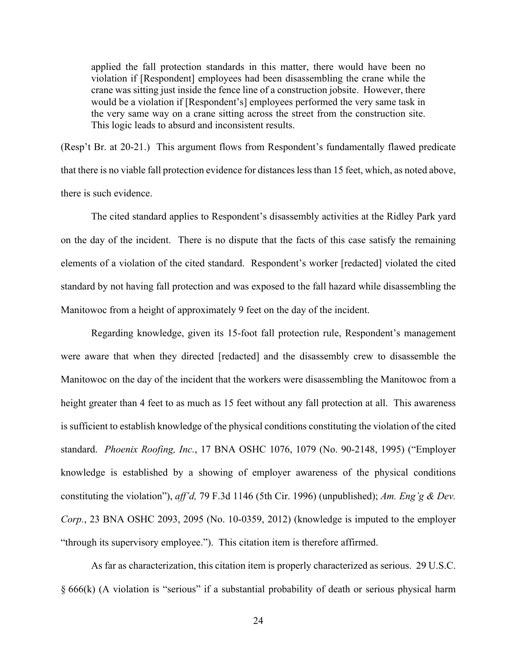applied the fall protection standards in this matter, there would have been no violation if [Respondent] employees had been disassembling the crane while the crane was sitting just inside the fence line of a construction jobsite. However, there would be a violation if [Respondent's] employees performed the very same task in the very same way on a crane sitting across the street from the construction site. This logic leads to absurd and inconsistent results.

(Resp't Br. at 20-21.) This argument flows from Respondent's fundamentally flawed predicate that there is no viable fall protection evidence for distances less than 15 feet, which, as noted above, there is such evidence.

 The cited standard applies to Respondent's disassembly activities at the Ridley Park yard on the day of the incident. There is no dispute that the facts of this case satisfy the remaining elements of a violation of the cited standard. Respondent's worker [redacted] violated the cited standard by not having fall protection and was exposed to the fall hazard while disassembling the Manitowoc from a height of approximately 9 feet on the day of the incident.

Regarding knowledge, given its 15-foot fall protection rule, Respondent's management were aware that when they directed [redacted] and the disassembly crew to disassemble the Manitowoc on the day of the incident that the workers were disassembling the Manitowoc from a height greater than 4 feet to as much as 15 feet without any fall protection at all. This awareness is sufficient to establish knowledge of the physical conditions constituting the violation of the cited standard. *Phoenix Roofing, Inc.*, 17 BNA OSHC 1076, 1079 (No. 90-2148, 1995) ("Employer knowledge is established by a showing of employer awareness of the physical conditions constituting the violation"), *aff'd,* 79 F.3d 1146 (5th Cir. 1996) (unpublished); *Am. Eng'g & Dev. Corp.*, 23 BNA OSHC 2093, 2095 (No. 10-0359, 2012) (knowledge is imputed to the employer "through its supervisory employee."). This citation item is therefore affirmed.

As far as characterization, this citation item is properly characterized as serious. 29 U.S.C. § 666(k) (A violation is "serious" if a substantial probability of death or serious physical harm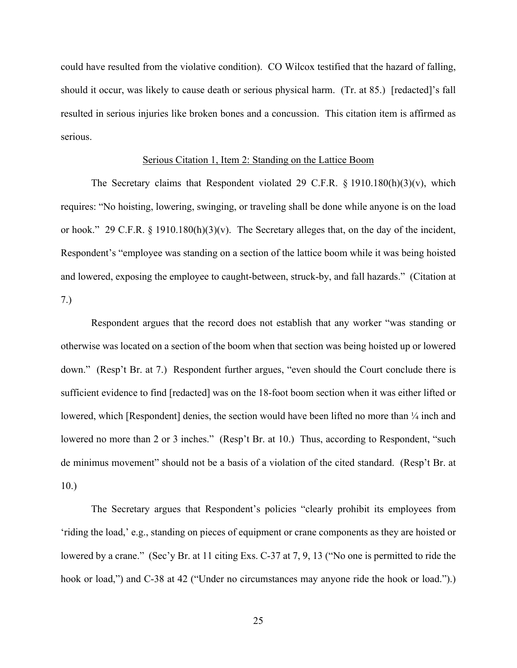could have resulted from the violative condition). CO Wilcox testified that the hazard of falling, should it occur, was likely to cause death or serious physical harm. (Tr. at 85.) [redacted]'s fall resulted in serious injuries like broken bones and a concussion. This citation item is affirmed as serious.

#### Serious Citation 1, Item 2: Standing on the Lattice Boom

The Secretary claims that Respondent violated 29 C.F.R.  $\S$  1910.180(h)(3)(v), which requires: "No hoisting, lowering, swinging, or traveling shall be done while anyone is on the load or hook." 29 C.F.R.  $\S$  1910.180(h)(3)(v). The Secretary alleges that, on the day of the incident, Respondent's "employee was standing on a section of the lattice boom while it was being hoisted and lowered, exposing the employee to caught-between, struck-by, and fall hazards." (Citation at 7.)

Respondent argues that the record does not establish that any worker "was standing or otherwise was located on a section of the boom when that section was being hoisted up or lowered down." (Resp't Br. at 7.) Respondent further argues, "even should the Court conclude there is sufficient evidence to find [redacted] was on the 18-foot boom section when it was either lifted or lowered, which [Respondent] denies, the section would have been lifted no more than  $\frac{1}{4}$  inch and lowered no more than 2 or 3 inches." (Resp't Br. at 10.) Thus, according to Respondent, "such de minimus movement" should not be a basis of a violation of the cited standard. (Resp't Br. at 10.)

The Secretary argues that Respondent's policies "clearly prohibit its employees from 'riding the load,' e.g., standing on pieces of equipment or crane components as they are hoisted or lowered by a crane." (Sec'y Br. at 11 citing Exs. C-37 at 7, 9, 13 ("No one is permitted to ride the hook or load,") and C-38 at 42 ("Under no circumstances may anyone ride the hook or load.").)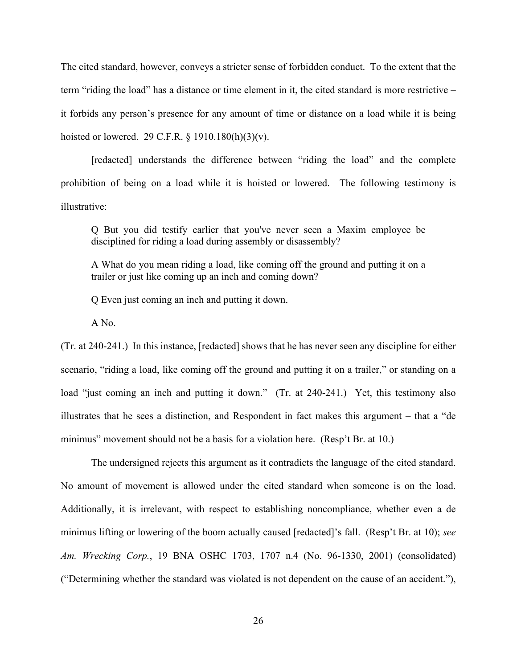The cited standard, however, conveys a stricter sense of forbidden conduct. To the extent that the term "riding the load" has a distance or time element in it, the cited standard is more restrictive – it forbids any person's presence for any amount of time or distance on a load while it is being hoisted or lowered. 29 C.F.R. § 1910.180(h)(3)(v).

[redacted] understands the difference between "riding the load" and the complete prohibition of being on a load while it is hoisted or lowered. The following testimony is illustrative:

Q But you did testify earlier that you've never seen a Maxim employee be disciplined for riding a load during assembly or disassembly?

A What do you mean riding a load, like coming off the ground and putting it on a trailer or just like coming up an inch and coming down?

Q Even just coming an inch and putting it down.

A No.

(Tr. at 240-241.) In this instance, [redacted] shows that he has never seen any discipline for either scenario, "riding a load, like coming off the ground and putting it on a trailer," or standing on a load "just coming an inch and putting it down." (Tr. at 240-241.) Yet, this testimony also illustrates that he sees a distinction, and Respondent in fact makes this argument – that a "de minimus" movement should not be a basis for a violation here. (Resp't Br. at 10.)

The undersigned rejects this argument as it contradicts the language of the cited standard. No amount of movement is allowed under the cited standard when someone is on the load. Additionally, it is irrelevant, with respect to establishing noncompliance, whether even a de minimus lifting or lowering of the boom actually caused [redacted]'s fall. (Resp't Br. at 10); *see Am. Wrecking Corp.*, 19 BNA OSHC 1703, 1707 n.4 (No. 96-1330, 2001) (consolidated) ("Determining whether the standard was violated is not dependent on the cause of an accident."),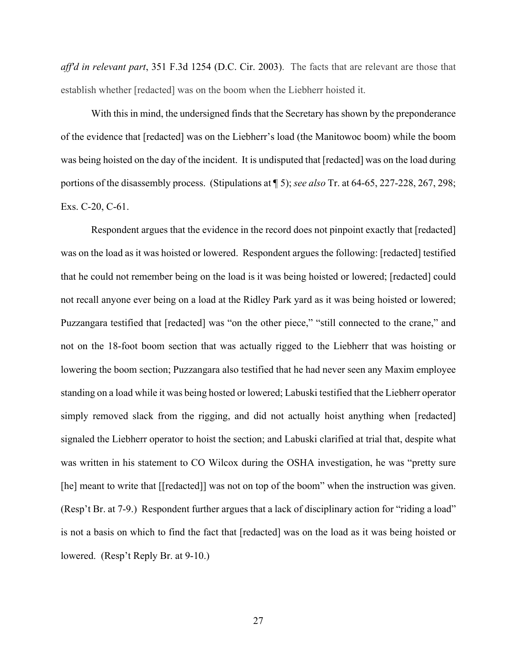*aff'd in relevant part*, 351 F.3d 1254 (D.C. Cir. 2003). The facts that are relevant are those that establish whether [redacted] was on the boom when the Liebherr hoisted it.

 With this in mind, the undersigned finds that the Secretary has shown by the preponderance of the evidence that [redacted] was on the Liebherr's load (the Manitowoc boom) while the boom was being hoisted on the day of the incident. It is undisputed that [redacted] was on the load during portions of the disassembly process. (Stipulations at ¶ 5); *see also* Tr. at 64-65, 227-228, 267, 298; Exs. C-20, C-61.

Respondent argues that the evidence in the record does not pinpoint exactly that [redacted] was on the load as it was hoisted or lowered. Respondent argues the following: [redacted] testified that he could not remember being on the load is it was being hoisted or lowered; [redacted] could not recall anyone ever being on a load at the Ridley Park yard as it was being hoisted or lowered; Puzzangara testified that [redacted] was "on the other piece," "still connected to the crane," and not on the 18-foot boom section that was actually rigged to the Liebherr that was hoisting or lowering the boom section; Puzzangara also testified that he had never seen any Maxim employee standing on a load while it was being hosted or lowered; Labuski testified that the Liebherr operator simply removed slack from the rigging, and did not actually hoist anything when [redacted] signaled the Liebherr operator to hoist the section; and Labuski clarified at trial that, despite what was written in his statement to CO Wilcox during the OSHA investigation, he was "pretty sure [he] meant to write that [[redacted]] was not on top of the boom" when the instruction was given. (Resp't Br. at 7-9.) Respondent further argues that a lack of disciplinary action for "riding a load" is not a basis on which to find the fact that [redacted] was on the load as it was being hoisted or lowered. (Resp't Reply Br. at 9-10.)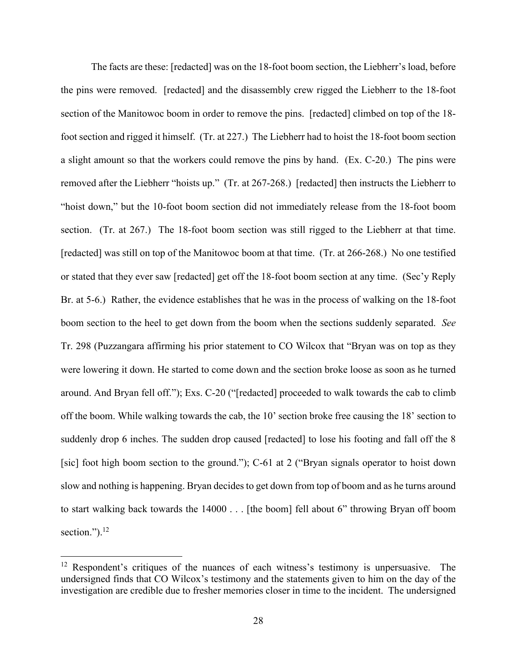The facts are these: [redacted] was on the 18-foot boom section, the Liebherr's load, before the pins were removed. [redacted] and the disassembly crew rigged the Liebherr to the 18-foot section of the Manitowoc boom in order to remove the pins. [redacted] climbed on top of the 18 foot section and rigged it himself. (Tr. at 227.) The Liebherr had to hoist the 18-foot boom section a slight amount so that the workers could remove the pins by hand. (Ex. C-20.) The pins were removed after the Liebherr "hoists up." (Tr. at 267-268.) [redacted] then instructs the Liebherr to "hoist down," but the 10-foot boom section did not immediately release from the 18-foot boom section. (Tr. at 267.) The 18-foot boom section was still rigged to the Liebherr at that time. [redacted] was still on top of the Manitowoc boom at that time. (Tr. at 266-268.) No one testified or stated that they ever saw [redacted] get off the 18-foot boom section at any time. (Sec'y Reply Br. at 5-6.) Rather, the evidence establishes that he was in the process of walking on the 18-foot boom section to the heel to get down from the boom when the sections suddenly separated. *See*  Tr. 298 (Puzzangara affirming his prior statement to CO Wilcox that "Bryan was on top as they were lowering it down. He started to come down and the section broke loose as soon as he turned around. And Bryan fell off."); Exs. C-20 ("[redacted] proceeded to walk towards the cab to climb off the boom. While walking towards the cab, the 10' section broke free causing the 18' section to suddenly drop 6 inches. The sudden drop caused [redacted] to lose his footing and fall off the 8 [sic] foot high boom section to the ground."); C-61 at 2 ("Bryan signals operator to hoist down slow and nothing is happening. Bryan decides to get down from top of boom and as he turns around to start walking back towards the 14000 . . . [the boom] fell about 6" throwing Bryan off boom section."). $^{12}$ 

 $12$  Respondent's critiques of the nuances of each witness's testimony is unpersuasive. The undersigned finds that CO Wilcox's testimony and the statements given to him on the day of the investigation are credible due to fresher memories closer in time to the incident. The undersigned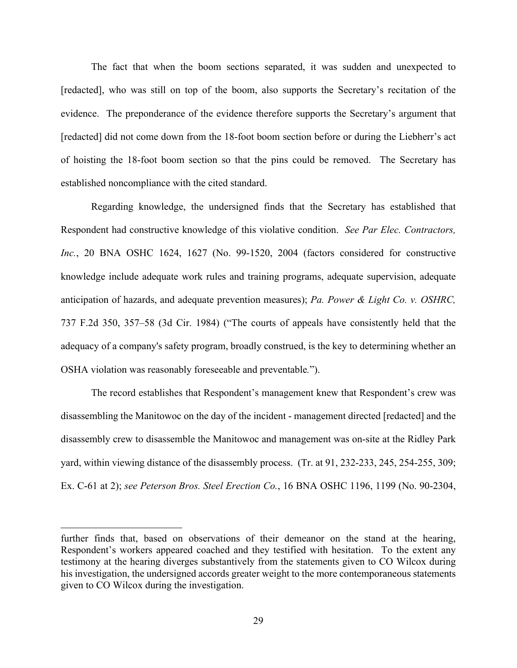The fact that when the boom sections separated, it was sudden and unexpected to [redacted], who was still on top of the boom, also supports the Secretary's recitation of the evidence. The preponderance of the evidence therefore supports the Secretary's argument that [redacted] did not come down from the 18-foot boom section before or during the Liebherr's act of hoisting the 18-foot boom section so that the pins could be removed. The Secretary has established noncompliance with the cited standard.

Regarding knowledge, the undersigned finds that the Secretary has established that Respondent had constructive knowledge of this violative condition. *See Par Elec. Contractors, Inc.*, 20 BNA OSHC 1624, 1627 (No. 99-1520, 2004 (factors considered for constructive knowledge include adequate work rules and training programs, adequate supervision, adequate anticipation of hazards, and adequate prevention measures); *Pa. Power & Light Co. v. OSHRC,* 737 F.2d 350, 357–58 (3d Cir. 1984) ("The courts of appeals have consistently held that the adequacy of a company's safety program, broadly construed, is the key to determining whether an OSHA violation was reasonably foreseeable and preventable*.*").

The record establishes that Respondent's management knew that Respondent's crew was disassembling the Manitowoc on the day of the incident - management directed [redacted] and the disassembly crew to disassemble the Manitowoc and management was on-site at the Ridley Park yard, within viewing distance of the disassembly process. (Tr. at 91, 232-233, 245, 254-255, 309; Ex. C-61 at 2); *see Peterson Bros. Steel Erection Co.*, 16 BNA OSHC 1196, 1199 (No. 90-2304,

further finds that, based on observations of their demeanor on the stand at the hearing, Respondent's workers appeared coached and they testified with hesitation. To the extent any testimony at the hearing diverges substantively from the statements given to CO Wilcox during his investigation, the undersigned accords greater weight to the more contemporaneous statements given to CO Wilcox during the investigation.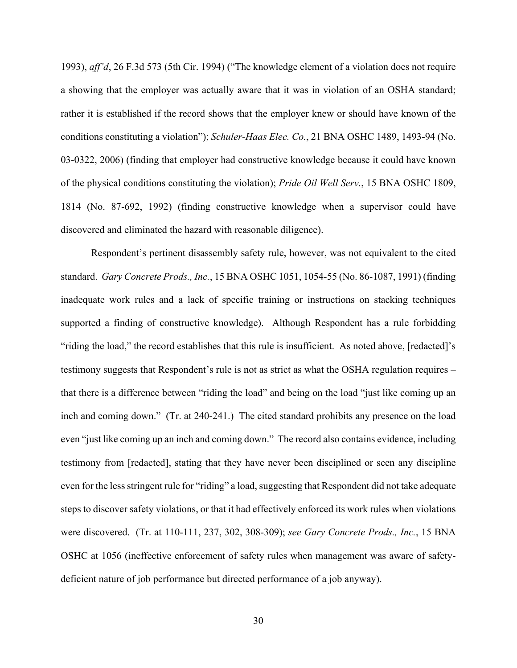1993), *aff'd*, 26 F.3d 573 (5th Cir. 1994) ("The knowledge element of a violation does not require a showing that the employer was actually aware that it was in violation of an OSHA standard; rather it is established if the record shows that the employer knew or should have known of the conditions constituting a violation"); *Schuler-Haas Elec. Co.*, 21 BNA OSHC 1489, 1493-94 (No. 03-0322, 2006) (finding that employer had constructive knowledge because it could have known of the physical conditions constituting the violation); *Pride Oil Well Serv.*, 15 BNA OSHC 1809, 1814 (No. 87-692, 1992) (finding constructive knowledge when a supervisor could have discovered and eliminated the hazard with reasonable diligence).

Respondent's pertinent disassembly safety rule, however, was not equivalent to the cited standard. *Gary Concrete Prods., Inc.*, 15 BNA OSHC 1051, 1054-55 (No. 86-1087, 1991) (finding inadequate work rules and a lack of specific training or instructions on stacking techniques supported a finding of constructive knowledge). Although Respondent has a rule forbidding "riding the load," the record establishes that this rule is insufficient. As noted above, [redacted]'s testimony suggests that Respondent's rule is not as strict as what the OSHA regulation requires – that there is a difference between "riding the load" and being on the load "just like coming up an inch and coming down." (Tr. at 240-241.) The cited standard prohibits any presence on the load even "just like coming up an inch and coming down." The record also contains evidence, including testimony from [redacted], stating that they have never been disciplined or seen any discipline even for the less stringent rule for "riding" a load, suggesting that Respondent did not take adequate steps to discover safety violations, or that it had effectively enforced its work rules when violations were discovered. (Tr. at 110-111, 237, 302, 308-309); *see Gary Concrete Prods., Inc.*, 15 BNA OSHC at 1056 (ineffective enforcement of safety rules when management was aware of safetydeficient nature of job performance but directed performance of a job anyway).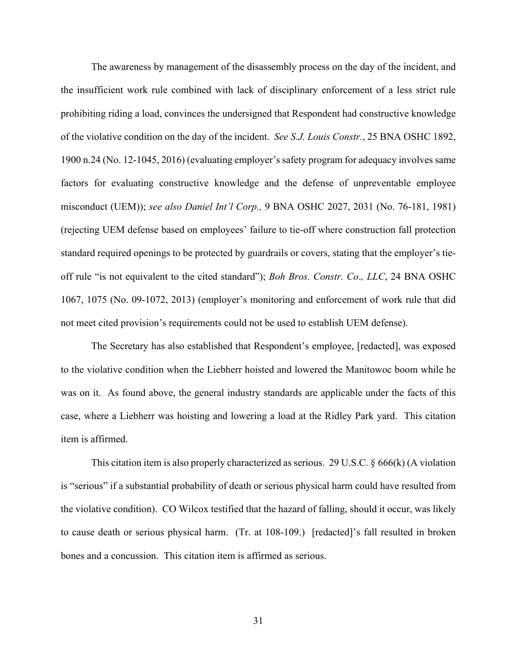The awareness by management of the disassembly process on the day of the incident, and the insufficient work rule combined with lack of disciplinary enforcement of a less strict rule prohibiting riding a load, convinces the undersigned that Respondent had constructive knowledge of the violative condition on the day of the incident. *See S.J. Louis Constr.*, 25 BNA OSHC 1892, 1900 n.24 (No. 12-1045, 2016) (evaluating employer's safety program for adequacy involves same factors for evaluating constructive knowledge and the defense of unpreventable employee misconduct (UEM)); *see also Daniel Int'l Corp.,* 9 BNA OSHC 2027, 2031 (No. 76-181, 1981) (rejecting UEM defense based on employees' failure to tie-off where construction fall protection standard required openings to be protected by guardrails or covers, stating that the employer's tieoff rule "is not equivalent to the cited standard"); *Boh Bros. Constr. Co*.*, LLC*, 24 BNA OSHC 1067, 1075 (No. 09-1072, 2013) (employer's monitoring and enforcement of work rule that did not meet cited provision's requirements could not be used to establish UEM defense).

The Secretary has also established that Respondent's employee, [redacted], was exposed to the violative condition when the Liebherr hoisted and lowered the Manitowoc boom while he was on it. As found above, the general industry standards are applicable under the facts of this case, where a Liebherr was hoisting and lowering a load at the Ridley Park yard. This citation item is affirmed.

This citation item is also properly characterized as serious. 29 U.S.C. § 666(k) (A violation is "serious" if a substantial probability of death or serious physical harm could have resulted from the violative condition). CO Wilcox testified that the hazard of falling, should it occur, was likely to cause death or serious physical harm. (Tr. at 108-109.) [redacted]'s fall resulted in broken bones and a concussion. This citation item is affirmed as serious.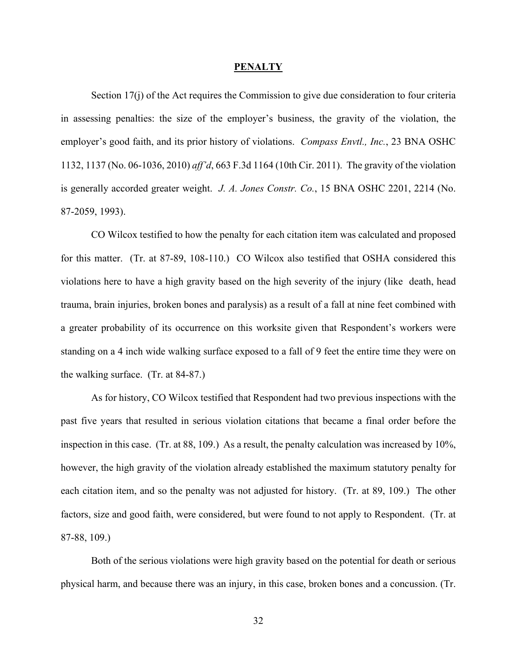#### **PENALTY**

Section 17(j) of the Act requires the Commission to give due consideration to four criteria in assessing penalties: the size of the employer's business, the gravity of the violation, the employer's good faith, and its prior history of violations. *Compass Envtl., Inc.*, 23 BNA OSHC 1132, 1137 (No. 06-1036, 2010) *aff'd*, 663 F.3d 1164 (10th Cir. 2011). The gravity of the violation is generally accorded greater weight. *J. A. Jones Constr. Co.*, 15 BNA OSHC 2201, 2214 (No. 87-2059, 1993).

CO Wilcox testified to how the penalty for each citation item was calculated and proposed for this matter. (Tr. at 87-89, 108-110.) CO Wilcox also testified that OSHA considered this violations here to have a high gravity based on the high severity of the injury (like death, head trauma, brain injuries, broken bones and paralysis) as a result of a fall at nine feet combined with a greater probability of its occurrence on this worksite given that Respondent's workers were standing on a 4 inch wide walking surface exposed to a fall of 9 feet the entire time they were on the walking surface. (Tr. at 84-87.)

As for history, CO Wilcox testified that Respondent had two previous inspections with the past five years that resulted in serious violation citations that became a final order before the inspection in this case. (Tr. at 88, 109.) As a result, the penalty calculation was increased by 10%, however, the high gravity of the violation already established the maximum statutory penalty for each citation item, and so the penalty was not adjusted for history. (Tr. at 89, 109.) The other factors, size and good faith, were considered, but were found to not apply to Respondent. (Tr. at 87-88, 109.)

Both of the serious violations were high gravity based on the potential for death or serious physical harm, and because there was an injury, in this case, broken bones and a concussion. (Tr.